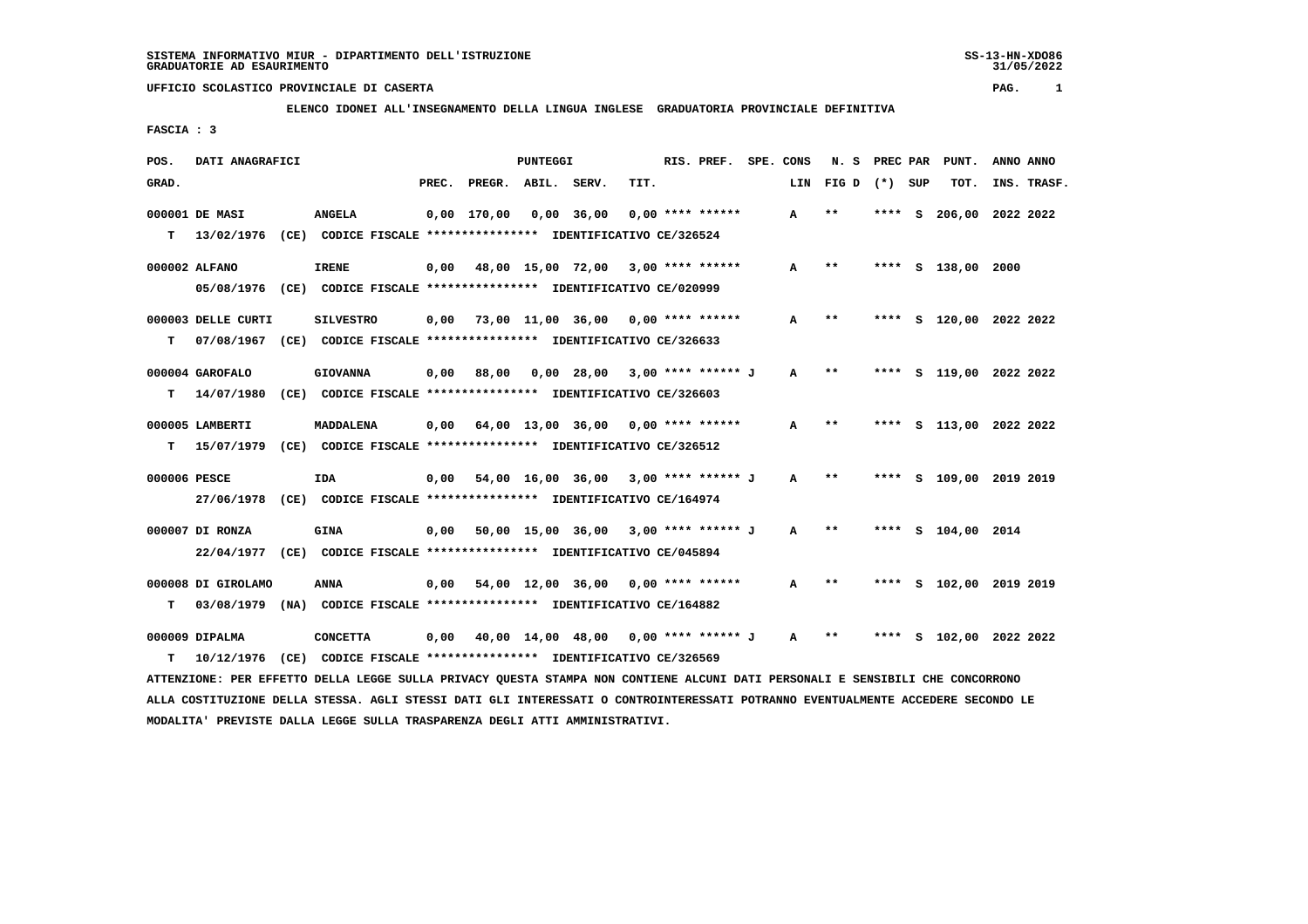SS-13-HN-XDO86<br>31/05/2022

### **UFFICIO SCOLASTICO PROVINCIALE DI CASERTA PAG. 1**

## **ELENCO IDONEI ALL'INSEGNAMENTO DELLA LINGUA INGLESE GRADUATORIA PROVINCIALE DEFINITIVA**

 **FASCIA : 3**

| POS.         | DATI ANAGRAFICI    |                                                                                                                                 |       |                    | <b>PUNTEGGI</b> |                                             |      | RIS. PREF. SPE. CONS |              | N. S         |      |   | PREC PAR PUNT.     | ANNO ANNO               |
|--------------|--------------------|---------------------------------------------------------------------------------------------------------------------------------|-------|--------------------|-----------------|---------------------------------------------|------|----------------------|--------------|--------------|------|---|--------------------|-------------------------|
| GRAD.        |                    |                                                                                                                                 | PREC. | PREGR. ABIL. SERV. |                 |                                             | TIT. |                      | LIN          | FIGD (*) SUP |      |   | TOT.               | INS. TRASF.             |
|              | 000001 DE MASI     | <b>ANGELA</b>                                                                                                                   |       | $0,00$ 170,00      |                 | $0,00$ 36,00                                |      | $0.00$ **** ******   | A            | $* *$        | **** | s |                    | 206,00 2022 2022        |
| т            |                    | 13/02/1976 (CE) CODICE FISCALE *************** IDENTIFICATIVO CE/326524                                                         |       |                    |                 |                                             |      |                      |              |              |      |   |                    |                         |
|              | 000002 ALFANO      | <b>IRENE</b>                                                                                                                    | 0,00  |                    |                 | 48,00 15,00 72,00 3,00 **** ******          |      |                      | A            | $* *$        |      |   | **** S 138,00 2000 |                         |
|              |                    | 05/08/1976 (CE) CODICE FISCALE *************** IDENTIFICATIVO CE/020999                                                         |       |                    |                 |                                             |      |                      |              |              |      |   |                    |                         |
|              | 000003 DELLE CURTI | <b>SILVESTRO</b>                                                                                                                | 0,00  |                    |                 | 73,00 11,00 36,00 0,00 **** ******          |      |                      | A            | $* *$        |      |   |                    | **** S 120,00 2022 2022 |
| т            |                    | 07/08/1967 (CE) CODICE FISCALE *************** IDENTIFICATIVO CE/326633                                                         |       |                    |                 |                                             |      |                      |              |              |      |   |                    |                         |
|              | 000004 GAROFALO    | <b>GIOVANNA</b>                                                                                                                 | 0,00  | 88,00              |                 | 0,00 28,00 3,00 **** ****** J               |      |                      | A            | $***$        |      |   |                    | **** S 119,00 2022 2022 |
| т            | 14/07/1980         | (CE) CODICE FISCALE **************** IDENTIFICATIVO CE/326603                                                                   |       |                    |                 |                                             |      |                      |              |              |      |   |                    |                         |
|              | 000005 LAMBERTI    | MADDALENA                                                                                                                       | 0,00  |                    |                 | 64,00 13,00 36,00 0,00 **** ******          |      |                      | A            | $* *$        |      |   |                    | **** S 113,00 2022 2022 |
| т            | 15/07/1979         | (CE) CODICE FISCALE **************** IDENTIFICATIVO CE/326512                                                                   |       |                    |                 |                                             |      |                      |              |              |      |   |                    |                         |
| 000006 PESCE |                    | IDA                                                                                                                             | 0,00  |                    |                 | 54,00 16,00 36,00 3,00 **** ****** J        |      |                      | A            | $* *$        |      |   |                    | **** S 109,00 2019 2019 |
|              | 27/06/1978         | (CE) CODICE FISCALE **************** IDENTIFICATIVO CE/164974                                                                   |       |                    |                 |                                             |      |                      |              |              |      |   |                    |                         |
|              | 000007 DI RONZA    | <b>GINA</b>                                                                                                                     | 0,00  |                    |                 | 50,00 15,00 36,00 3,00 **** ****** J        |      |                      | A            | $* *$        |      |   | **** S 104,00 2014 |                         |
|              |                    | 22/04/1977 (CE) CODICE FISCALE *************** IDENTIFICATIVO CE/045894                                                         |       |                    |                 |                                             |      |                      |              |              |      |   |                    |                         |
|              | 000008 DI GIROLAMO | <b>ANNA</b>                                                                                                                     | 0,00  |                    |                 | $54,00$ 12,00 36,00 0,00 **** ******        |      |                      | A            | $* *$        |      |   |                    | **** S 102,00 2019 2019 |
| т            | 03/08/1979         | (NA) CODICE FISCALE **************** IDENTIFICATIVO CE/164882                                                                   |       |                    |                 |                                             |      |                      |              |              |      |   |                    |                         |
|              | 000009 DIPALMA     | <b>CONCETTA</b>                                                                                                                 |       |                    |                 | $0,00$ 40,00 14,00 48,00 0,00 **** ****** J |      |                      | $\mathbf{A}$ | $* *$        |      |   |                    | **** S 102,00 2022 2022 |
| т            | 10/12/1976         | (CE) CODICE FISCALE **************** IDENTIFICATIVO CE/326569                                                                   |       |                    |                 |                                             |      |                      |              |              |      |   |                    |                         |
|              |                    | ATTENZIONE: PER EFFETTO DELLA LEGGE SULLA PRIVACY OUESTA STAMPA NON CONTIENE ALCUNI DATI PERSONALI E SENSIBILI CHE CONCORRONO   |       |                    |                 |                                             |      |                      |              |              |      |   |                    |                         |
|              |                    | ALLA COSTITUZIONE DELLA STESSA. AGLI STESSI DATI GLI INTERESSATI O CONTROINTERESSATI POTRANNO EVENTUALMENTE ACCEDERE SECONDO LE |       |                    |                 |                                             |      |                      |              |              |      |   |                    |                         |

 **MODALITA' PREVISTE DALLA LEGGE SULLA TRASPARENZA DEGLI ATTI AMMINISTRATIVI.**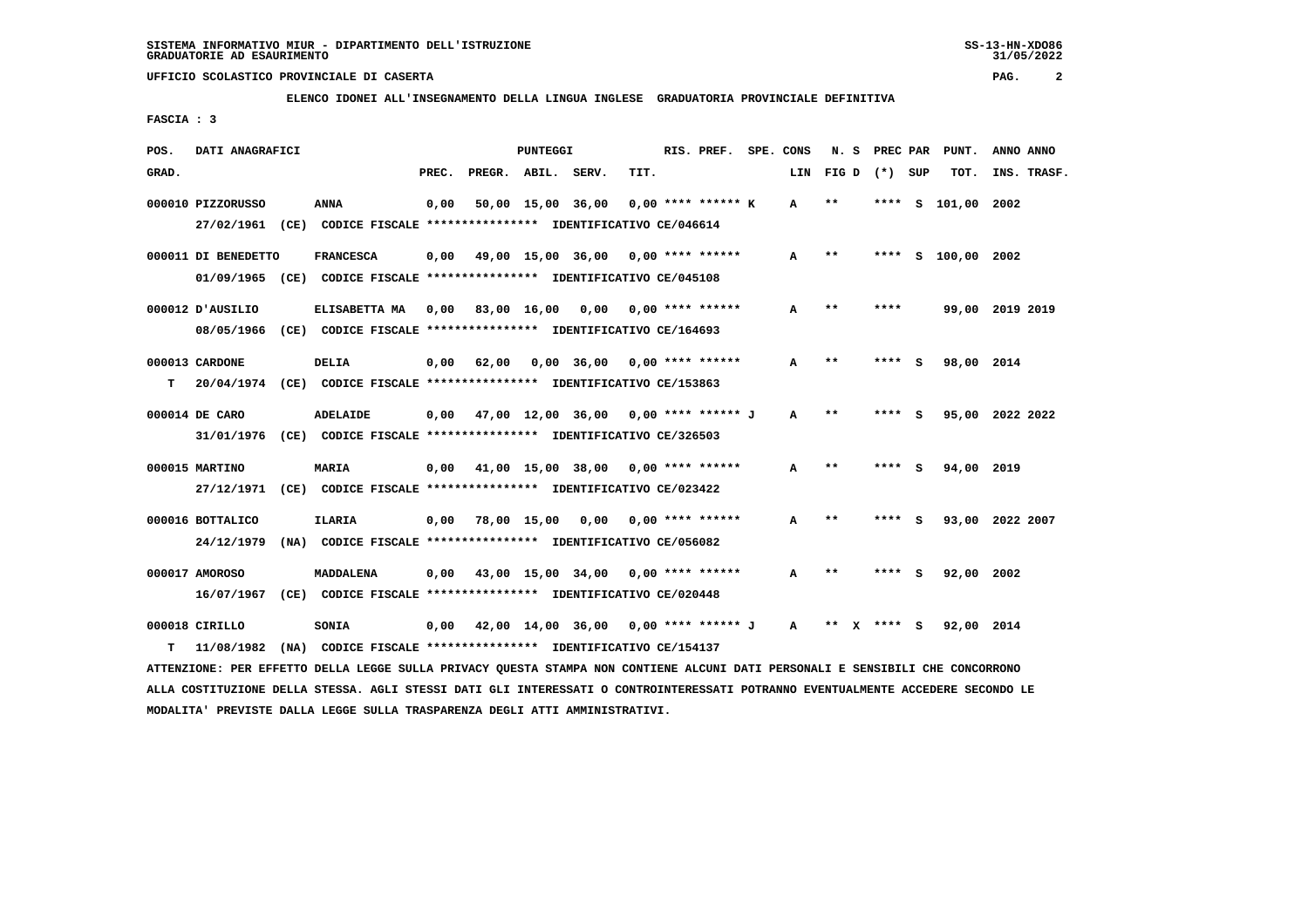**ELENCO IDONEI ALL'INSEGNAMENTO DELLA LINGUA INGLESE GRADUATORIA PROVINCIALE DEFINITIVA**

 **FASCIA : 3**

| POS.  | DATI ANAGRAFICI     |                                                                                         |       |                    | PUNTEGGI          |                                             |      | RIS. PREF. SPE. CONS |              |                       |        |        | N. S PREC PAR PUNT. | ANNO ANNO       |
|-------|---------------------|-----------------------------------------------------------------------------------------|-------|--------------------|-------------------|---------------------------------------------|------|----------------------|--------------|-----------------------|--------|--------|---------------------|-----------------|
| GRAD. |                     |                                                                                         | PREC. | PREGR. ABIL. SERV. |                   |                                             | TIT. |                      |              | LIN FIG D (*) SUP     |        |        | TOT.                | INS. TRASF.     |
|       | 000010 PIZZORUSSO   | ANNA                                                                                    | 0,00  |                    | 50,00 15,00 36,00 |                                             |      | $0.00$ **** ****** K | A            | $* *$                 | ****   | s      | 101,00 2002         |                 |
|       |                     | 27/02/1961 (CE) CODICE FISCALE *************** IDENTIFICATIVO CE/046614                 |       |                    |                   |                                             |      |                      |              |                       |        |        |                     |                 |
|       | 000011 DI BENEDETTO | <b>FRANCESCA</b>                                                                        | 0,00  |                    |                   | 49,00 15,00 36,00 0,00 **** ******          |      |                      | A            | $* *$                 |        |        | **** S 100,00 2002  |                 |
|       |                     | 01/09/1965 (CE) CODICE FISCALE *************** IDENTIFICATIVO CE/045108                 |       |                    |                   |                                             |      |                      |              |                       |        |        |                     |                 |
|       | 000012 D'AUSILIO    | ELISABETTA MA 0,00 83,00 16,00 0,00 0.00 **** ******                                    |       |                    |                   |                                             |      |                      | A            | $* *$                 | ****   |        |                     | 99,00 2019 2019 |
|       |                     | 08/05/1966 (CE) CODICE FISCALE *************** IDENTIFICATIVO CE/164693                 |       |                    |                   |                                             |      |                      |              |                       |        |        |                     |                 |
|       | 000013 CARDONE      | DELIA                                                                                   | 0,00  | 62,00              |                   | $0.00$ 36,00 0.00 **** ******               |      |                      | A            | $* *$                 | ****   | - 5    | 98,00 2014          |                 |
| т     |                     | 20/04/1974 (CE) CODICE FISCALE *************** IDENTIFICATIVO CE/153863                 |       |                    |                   |                                             |      |                      |              |                       |        |        |                     |                 |
|       | 000014 DE CARO      | ADELAIDE                                                                                |       |                    |                   | $0.00$ 47.00 12.00 36.00 0.00 **** ****** J |      |                      | A            | $**$                  |        | **** S |                     | 95,00 2022 2022 |
|       |                     | 31/01/1976 (CE) CODICE FISCALE *************** IDENTIFICATIVO CE/326503                 |       |                    |                   |                                             |      |                      |              |                       |        |        |                     |                 |
|       |                     |                                                                                         |       |                    |                   |                                             |      |                      |              | $* *$                 |        |        |                     |                 |
|       | 000015 MARTINO      | <b>MARIA</b><br>27/12/1971 (CE) CODICE FISCALE *************** IDENTIFICATIVO CE/023422 | 0,00  |                    |                   | 41,00 15,00 38,00 0,00 **** ******          |      |                      | A            |                       |        | **** S | 94,00 2019          |                 |
|       |                     |                                                                                         |       |                    |                   |                                             |      |                      |              |                       |        |        |                     |                 |
|       | 000016 BOTTALICO    | ILARIA                                                                                  | 0,00  |                    |                   | 78,00 15,00 0,00 0,00 **** ******           |      |                      | A            | $* *$                 |        | **** S |                     | 93,00 2022 2007 |
|       | 24/12/1979          | (NA) CODICE FISCALE **************** IDENTIFICATIVO CE/056082                           |       |                    |                   |                                             |      |                      |              |                       |        |        |                     |                 |
|       | 000017 AMOROSO      | <b>MADDALENA</b>                                                                        | 0.00  |                    |                   | 43,00 15,00 34,00 0,00 **** ******          |      |                      | A            | $**$                  | ****   | - S    | 92,00 2002          |                 |
|       | 16/07/1967          | (CE) CODICE FISCALE **************** IDENTIFICATIVO CE/020448                           |       |                    |                   |                                             |      |                      |              |                       |        |        |                     |                 |
|       | 000018 CIRILLO      | <b>SONIA</b>                                                                            | 0,00  |                    |                   | 42,00 14,00 36,00 0,00 **** ****** J        |      |                      | $\mathbf{A}$ | $***$<br>$\mathbf{x}$ | **** S |        | 92,00 2014          |                 |
| т     | 11/08/1982          | (NA) CODICE FISCALE **************** IDENTIFICATIVO CE/154137                           |       |                    |                   |                                             |      |                      |              |                       |        |        |                     |                 |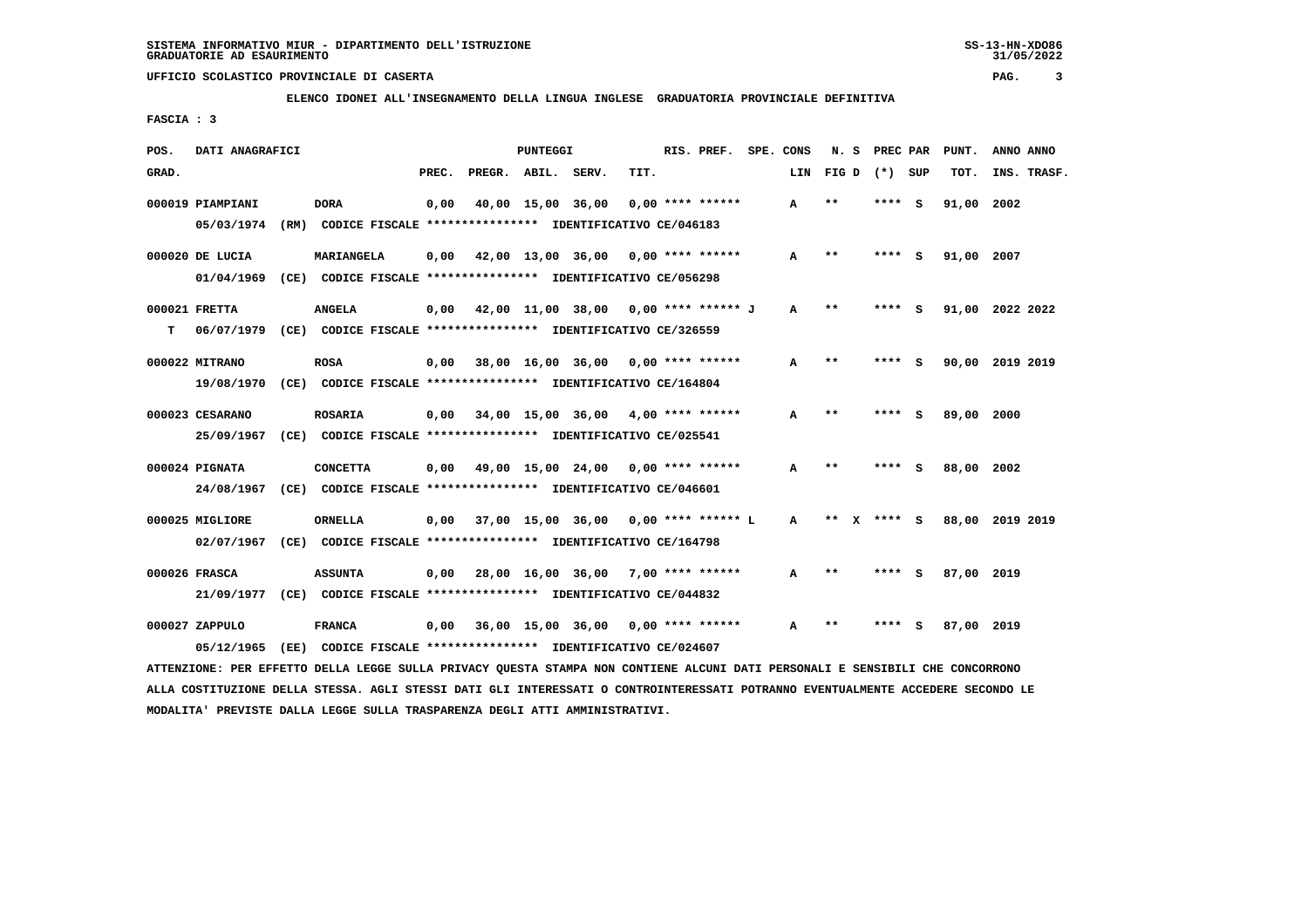**ELENCO IDONEI ALL'INSEGNAMENTO DELLA LINGUA INGLESE GRADUATORIA PROVINCIALE DEFINITIVA**

 **FASCIA : 3**

| POS.  | DATI ANAGRAFICI  |      |                                                                                                                               |       |                                             | PUNTEGGI |                   |      | RIS. PREF. SPE. CONS |              |                |      | N. S PREC PAR | PUNT.           | ANNO ANNO |             |
|-------|------------------|------|-------------------------------------------------------------------------------------------------------------------------------|-------|---------------------------------------------|----------|-------------------|------|----------------------|--------------|----------------|------|---------------|-----------------|-----------|-------------|
| GRAD. |                  |      |                                                                                                                               | PREC. | PREGR. ABIL. SERV.                          |          |                   | TIT. |                      | LIN          | FIGD $(*)$ SUP |      |               | TOT.            |           | INS. TRASF. |
|       | 000019 PIAMPIANI |      | <b>DORA</b>                                                                                                                   | 0,00  |                                             |          | 40,00 15,00 36,00 |      | 0,00 **** ******     | A            | $* *$          | **** | - S           | 91,00           | 2002      |             |
|       |                  |      | 05/03/1974 (RM) CODICE FISCALE *************** IDENTIFICATIVO CE/046183                                                       |       |                                             |          |                   |      |                      |              |                |      |               |                 |           |             |
|       | 000020 DE LUCIA  |      | MARIANGELA                                                                                                                    |       | $0,00$ 42,00 13,00 36,00 0,00 **** ******   |          |                   |      |                      | A            | $* *$          | **** | - S           | 91,00 2007      |           |             |
|       | 01/04/1969       |      | (CE) CODICE FISCALE **************** IDENTIFICATIVO CE/056298                                                                 |       |                                             |          |                   |      |                      |              |                |      |               |                 |           |             |
|       | 000021 FRETTA    |      | <b>ANGELA</b>                                                                                                                 |       | $0,00$ 42,00 11,00 38,00 0,00 **** ****** J |          |                   |      |                      | A            | $***$          |      | **** S        | 91,00 2022 2022 |           |             |
| т     |                  |      | 06/07/1979 (CE) CODICE FISCALE *************** IDENTIFICATIVO CE/326559                                                       |       |                                             |          |                   |      |                      |              |                |      |               |                 |           |             |
|       | 000022 MITRANO   |      | <b>ROSA</b>                                                                                                                   |       | $0,00$ 38,00 16,00 36,00 0,00 **** ******   |          |                   |      |                      | A            | $***$          | **** | <b>S</b>      | 90,00 2019 2019 |           |             |
|       |                  |      | 19/08/1970 (CE) CODICE FISCALE *************** IDENTIFICATIVO CE/164804                                                       |       |                                             |          |                   |      |                      |              |                |      |               |                 |           |             |
|       | 000023 CESARANO  |      | <b>ROSARIA</b>                                                                                                                |       | $0,00$ 34,00 15,00 36,00 4,00 **** ******   |          |                   |      |                      | A            | $* *$          |      | **** S        | 89,00 2000      |           |             |
|       |                  |      | 25/09/1967 (CE) CODICE FISCALE *************** IDENTIFICATIVO CE/025541                                                       |       |                                             |          |                   |      |                      |              |                |      |               |                 |           |             |
|       | 000024 PIGNATA   |      | <b>CONCETTA</b>                                                                                                               |       | $0,00$ 49,00 15,00 24,00 0,00 **** ******   |          |                   |      |                      | A            | $* *$          |      | **** S        | 88,00 2002      |           |             |
|       |                  |      | 24/08/1967 (CE) CODICE FISCALE *************** IDENTIFICATIVO CE/046601                                                       |       |                                             |          |                   |      |                      |              |                |      |               |                 |           |             |
|       | 000025 MIGLIORE  |      | <b>ORNELLA</b>                                                                                                                |       | $0,00$ 37,00 15,00 36,00 0,00 **** ****** L |          |                   |      |                      | $\mathbf{A}$ | ** $X$ **** S  |      |               | 88,00 2019 2019 |           |             |
|       |                  |      | 02/07/1967 (CE) CODICE FISCALE *************** IDENTIFICATIVO CE/164798                                                       |       |                                             |          |                   |      |                      |              |                |      |               |                 |           |             |
|       | 000026 FRASCA    |      | <b>ASSUNTA</b>                                                                                                                |       | $0,00$ 28,00 16,00 36,00 7,00 **** ******   |          |                   |      |                      | A            | $* *$          |      | **** S        | 87,00 2019      |           |             |
|       |                  |      | 21/09/1977 (CE) CODICE FISCALE *************** IDENTIFICATIVO CE/044832                                                       |       |                                             |          |                   |      |                      |              |                |      |               |                 |           |             |
|       | 000027 ZAPPULO   |      | <b>FRANCA</b>                                                                                                                 |       | $0,00$ 36,00 15,00 36,00 0,00 **** ******   |          |                   |      |                      | A            | $**$           | **** | - S           | 87,00 2019      |           |             |
|       | 05/12/1965       | (EE) | CODICE FISCALE **************** IDENTIFICATIVO CE/024607                                                                      |       |                                             |          |                   |      |                      |              |                |      |               |                 |           |             |
|       |                  |      | ATTENZIONE: PER EFFETTO DELLA LEGGE SULLA PRIVACY OUESTA STAMPA NON CONTIENE ALCUNI DATI PERSONALI E SENSIBILI CHE CONCORRONO |       |                                             |          |                   |      |                      |              |                |      |               |                 |           |             |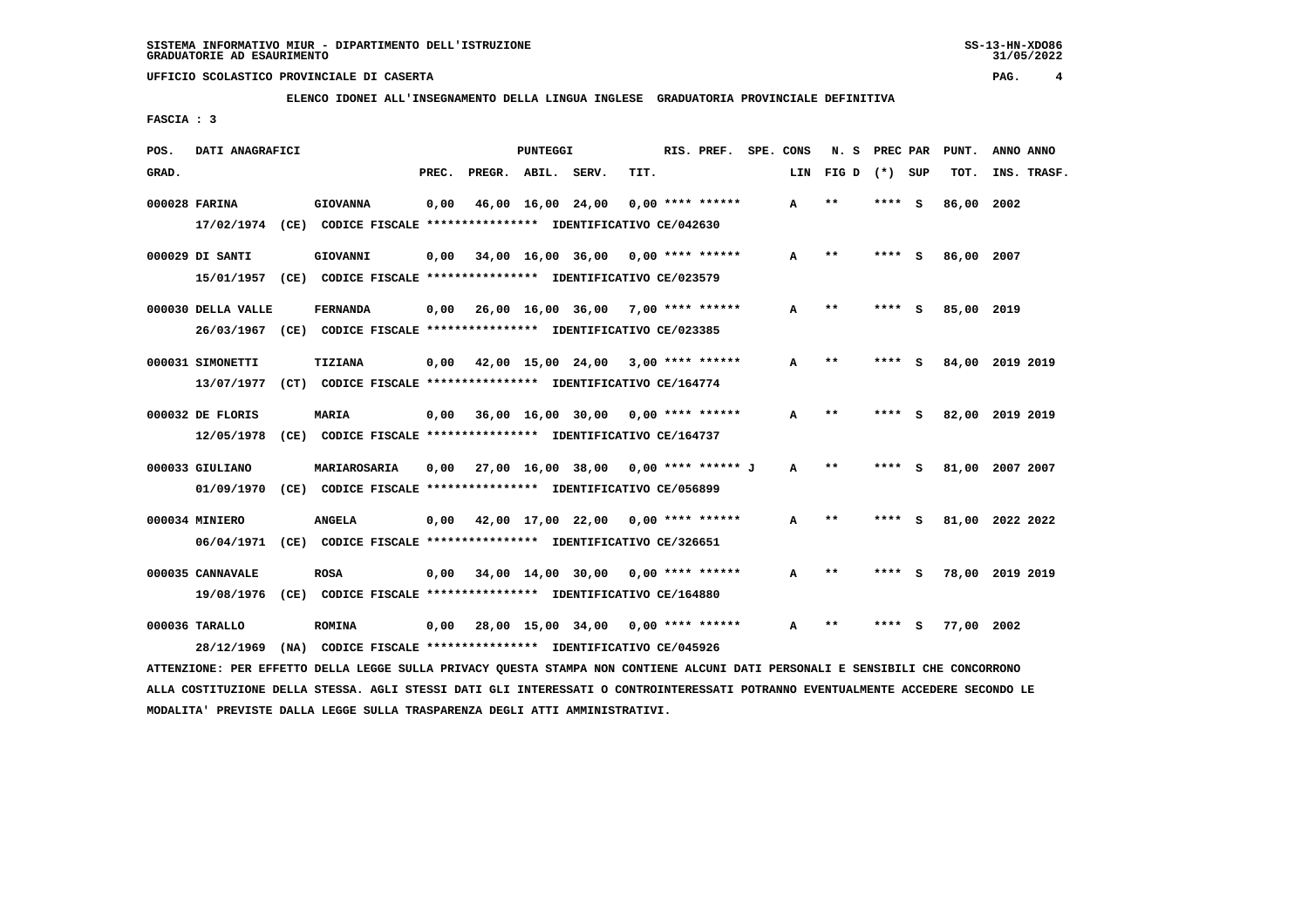**ELENCO IDONEI ALL'INSEGNAMENTO DELLA LINGUA INGLESE GRADUATORIA PROVINCIALE DEFINITIVA**

 **FASCIA : 3**

| POS.  | DATI ANAGRAFICI                                                         |                                                               |       |                    | PUNTEGGI |                                           |      | RIS. PREF.         | SPE. CONS | N. S            | PREC PAR |     | PUNT.      | ANNO ANNO       |
|-------|-------------------------------------------------------------------------|---------------------------------------------------------------|-------|--------------------|----------|-------------------------------------------|------|--------------------|-----------|-----------------|----------|-----|------------|-----------------|
| GRAD. |                                                                         |                                                               | PREC. | PREGR. ABIL. SERV. |          |                                           | TIT. |                    | LIN       | FIG D $(*)$ SUP |          |     | TOT.       | INS. TRASF.     |
|       | 000028 FARINA                                                           | <b>GIOVANNA</b>                                               | 0,00  |                    |          | 46,00 16,00 24,00                         |      | $0.00$ **** ****** | A         | $\star\star$    | ****     | ్   | 86,00 2002 |                 |
|       | 17/02/1974 (CE) CODICE FISCALE *************** IDENTIFICATIVO CE/042630 |                                                               |       |                    |          |                                           |      |                    |           |                 |          |     |            |                 |
|       | 000029 DI SANTI                                                         | GIOVANNI                                                      |       |                    |          | $0.00$ 34.00 16.00 36.00 0.00 **** ****** |      |                    | A         | $* *$           | **** S   |     | 86,00 2007 |                 |
|       | 15/01/1957 (CE) CODICE FISCALE *************** IDENTIFICATIVO CE/023579 |                                                               |       |                    |          |                                           |      |                    |           |                 |          |     |            |                 |
|       | 000030 DELLA VALLE                                                      | <b>FERNANDA</b>                                               |       |                    |          | $0,00$ 26,00 16,00 36,00 7,00 **** ****** |      |                    | A         | $\star\star$    | ****     | - 5 | 85,00 2019 |                 |
|       | 26/03/1967 (CE) CODICE FISCALE *************** IDENTIFICATIVO CE/023385 |                                                               |       |                    |          |                                           |      |                    |           |                 |          |     |            |                 |
|       | 000031 SIMONETTI                                                        | <b>TIZIANA</b>                                                |       |                    |          | $0,00$ 42,00 15,00 24,00 3,00 **** ****** |      |                    | A         | $* *$           | ****     | - 5 |            | 84,00 2019 2019 |
|       | 13/07/1977 (CT) CODICE FISCALE *************** IDENTIFICATIVO CE/164774 |                                                               |       |                    |          |                                           |      |                    |           |                 |          |     |            |                 |
|       | 000032 DE FLORIS                                                        | <b>MARIA</b>                                                  |       |                    |          | $0,00$ 36,00 16,00 30,00 0,00 **** ****** |      |                    | A         | $\star\star$    | **** S   |     |            | 82,00 2019 2019 |
|       | 12/05/1978                                                              | (CE) CODICE FISCALE *************** IDENTIFICATIVO CE/164737  |       |                    |          |                                           |      |                    |           |                 |          |     |            |                 |
|       | 000033 GIULIANO                                                         | MARIAROSARIA                                                  | 0,00  |                    |          | 27,00 16,00 38,00 0,00 **** ****** J      |      |                    | A         | $* *$           | **** S   |     |            | 81,00 2007 2007 |
|       | 01/09/1970 (CE) CODICE FISCALE *************** IDENTIFICATIVO CE/056899 |                                                               |       |                    |          |                                           |      |                    |           |                 |          |     |            |                 |
|       | 000034 MINIERO                                                          | <b>ANGELA</b>                                                 |       |                    |          | $0,00$ 42,00 17,00 22,00 0,00 **** ****** |      |                    | A         | $***$           | ****     | - 5 |            | 81,00 2022 2022 |
|       | 06/04/1971 (CE) CODICE FISCALE *************** IDENTIFICATIVO CE/326651 |                                                               |       |                    |          |                                           |      |                    |           |                 |          |     |            |                 |
|       | 000035 CANNAVALE                                                        | <b>ROSA</b>                                                   |       |                    |          | $0,00$ 34,00 14,00 30,00 0,00 **** ****** |      |                    | A         | $\star\star$    | **** S   |     |            | 78,00 2019 2019 |
|       | 19/08/1976                                                              | (CE) CODICE FISCALE **************** IDENTIFICATIVO CE/164880 |       |                    |          |                                           |      |                    |           |                 |          |     |            |                 |
|       | 000036 TARALLO                                                          | <b>ROMINA</b>                                                 |       |                    |          | 0,00 28,00 15,00 34,00                    |      | $0.00$ **** ****** | A         | $* *$           | ****     | s   | 77,00      | 2002            |
|       | 28/12/1969                                                              | (NA) CODICE FISCALE *************** IDENTIFICATIVO CE/045926  |       |                    |          |                                           |      |                    |           |                 |          |     |            |                 |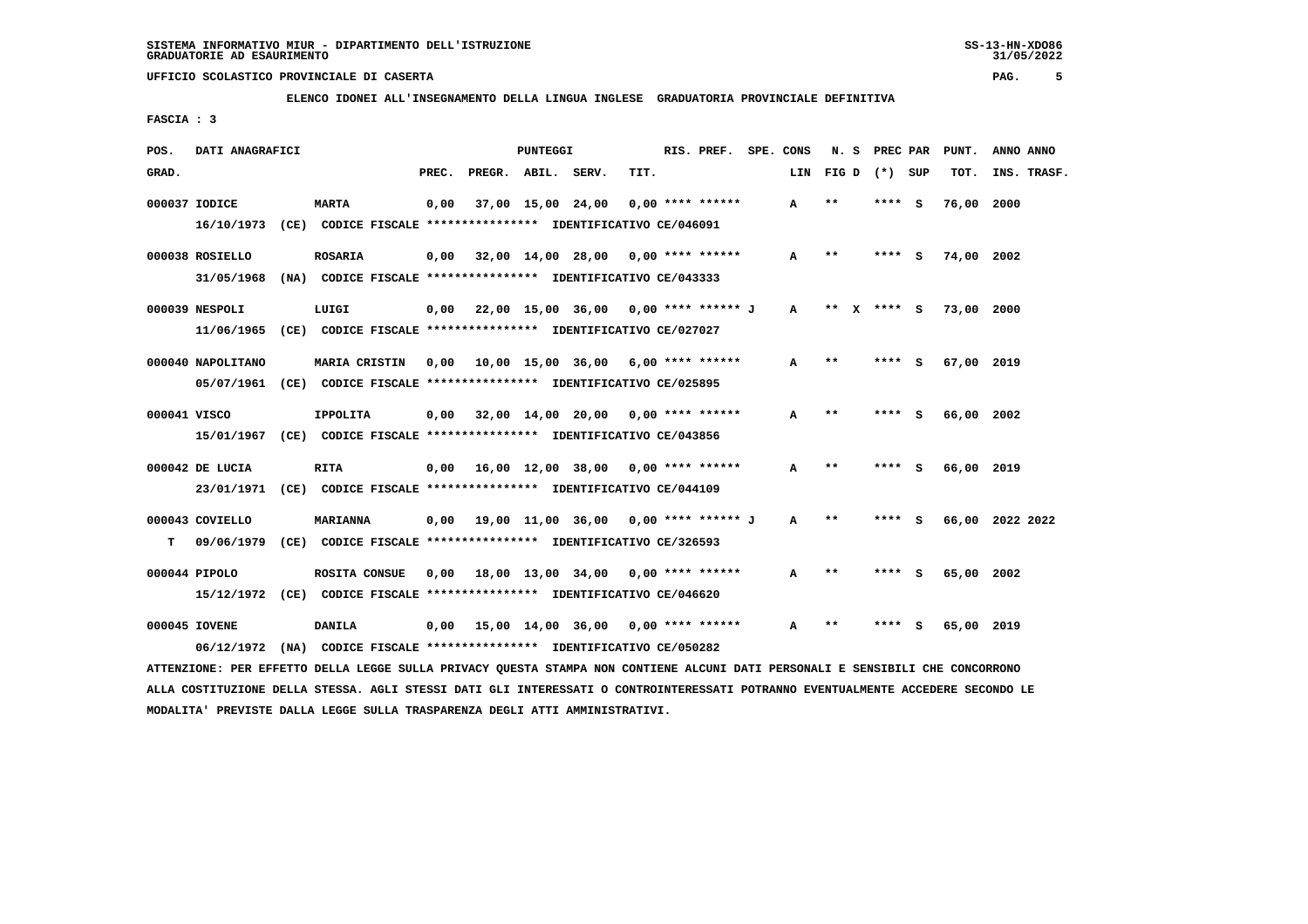**ELENCO IDONEI ALL'INSEGNAMENTO DELLA LINGUA INGLESE GRADUATORIA PROVINCIALE DEFINITIVA**

 **FASCIA : 3**

| POS.  | DATI ANAGRAFICI   |                                                                         |       |                                             | PUNTEGGI          |      | RIS. PREF.         | SPE. CONS    | N. S    | PREC PAR        |          | PUNT.      | ANNO ANNO       |
|-------|-------------------|-------------------------------------------------------------------------|-------|---------------------------------------------|-------------------|------|--------------------|--------------|---------|-----------------|----------|------------|-----------------|
| GRAD. |                   |                                                                         | PREC. | PREGR. ABIL. SERV.                          |                   | TIT. |                    | LIN          |         | $FIG D (*) SUB$ |          | TOT.       | INS. TRASF.     |
|       | 000037 IODICE     | <b>MARTA</b>                                                            | 0.00  |                                             | 37,00 15,00 24,00 |      | $0.00$ **** ****** | A            | $* *$   | **** S          |          | 76,00 2000 |                 |
|       |                   | 16/10/1973 (CE) CODICE FISCALE *************** IDENTIFICATIVO CE/046091 |       |                                             |                   |      |                    |              |         |                 |          |            |                 |
|       | 000038 ROSIELLO   | <b>ROSARIA</b>                                                          |       | $0,00$ 32,00 14,00 28,00 0,00 **** ******   |                   |      |                    | A            | **      | **** S          |          | 74,00 2002 |                 |
|       |                   | 31/05/1968 (NA) CODICE FISCALE *************** IDENTIFICATIVO CE/043333 |       |                                             |                   |      |                    |              |         |                 |          |            |                 |
|       | 000039 NESPOLI    | LUIGI                                                                   |       | $0,00$ 22,00 15,00 36,00 0,00 **** ****** J |                   |      |                    | $\mathbf{A}$ | $***$ X | $***$ S         |          | 73,00 2000 |                 |
|       |                   | 11/06/1965 (CE) CODICE FISCALE *************** IDENTIFICATIVO CE/027027 |       |                                             |                   |      |                    |              |         |                 |          |            |                 |
|       | 000040 NAPOLITANO | <b>MARIA CRISTIN</b>                                                    |       | $0.00$ 10.00 15.00 36.00 6.00 **** ******   |                   |      |                    | A            | $* *$   | ****            | <b>S</b> | 67,00 2019 |                 |
|       |                   | 05/07/1961 (CE) CODICE FISCALE *************** IDENTIFICATIVO CE/025895 |       |                                             |                   |      |                    |              |         |                 |          |            |                 |
|       | 000041 VISCO      | <b>IPPOLITA</b>                                                         |       | $0.00$ 32.00 14.00 20.00 0.00 **** ******   |                   |      |                    | A            | $* *$   | **** S          |          | 66,00 2002 |                 |
|       |                   | 15/01/1967 (CE) CODICE FISCALE *************** IDENTIFICATIVO CE/043856 |       |                                             |                   |      |                    |              |         |                 |          |            |                 |
|       | 000042 DE LUCIA   | RITA                                                                    | 0,00  | 16,00 12,00 38,00 0,00 **** ******          |                   |      |                    | A            | $* *$   | **** S          |          | 66,00 2019 |                 |
|       |                   | 23/01/1971 (CE) CODICE FISCALE *************** IDENTIFICATIVO CE/044109 |       |                                             |                   |      |                    |              |         |                 |          |            |                 |
|       | 000043 COVIELLO   | MARIANNA                                                                |       |                                             |                   |      |                    | $\mathbf{A}$ | $**$    | **** S          |          |            | 66,00 2022 2022 |
| т     | 09/06/1979        | (CE) CODICE FISCALE **************** IDENTIFICATIVO CE/326593           |       |                                             |                   |      |                    |              |         |                 |          |            |                 |
|       | 000044 PIPOLO     | ROSITA CONSUE                                                           |       |                                             |                   |      |                    |              | $***$   | ****            |          |            |                 |
|       |                   | 15/12/1972 (CE) CODICE FISCALE *************** IDENTIFICATIVO CE/046620 |       | $0.00$ 18.00 13.00 34.00 0.00 **** ******   |                   |      |                    | A            |         |                 | - S      | 65,00 2002 |                 |
|       |                   |                                                                         |       |                                             |                   |      |                    |              |         |                 |          |            |                 |
|       | 000045 IOVENE     | DANILA                                                                  |       | $0.00$ 15.00 14.00 36.00 0.00 **** ******   |                   |      |                    | A            | $* *$   |                 |          | 65,00 2019 |                 |
|       | 06/12/1972        | (NA) CODICE FISCALE **************** IDENTIFICATIVO CE/050282           |       |                                             |                   |      |                    |              |         |                 |          |            |                 |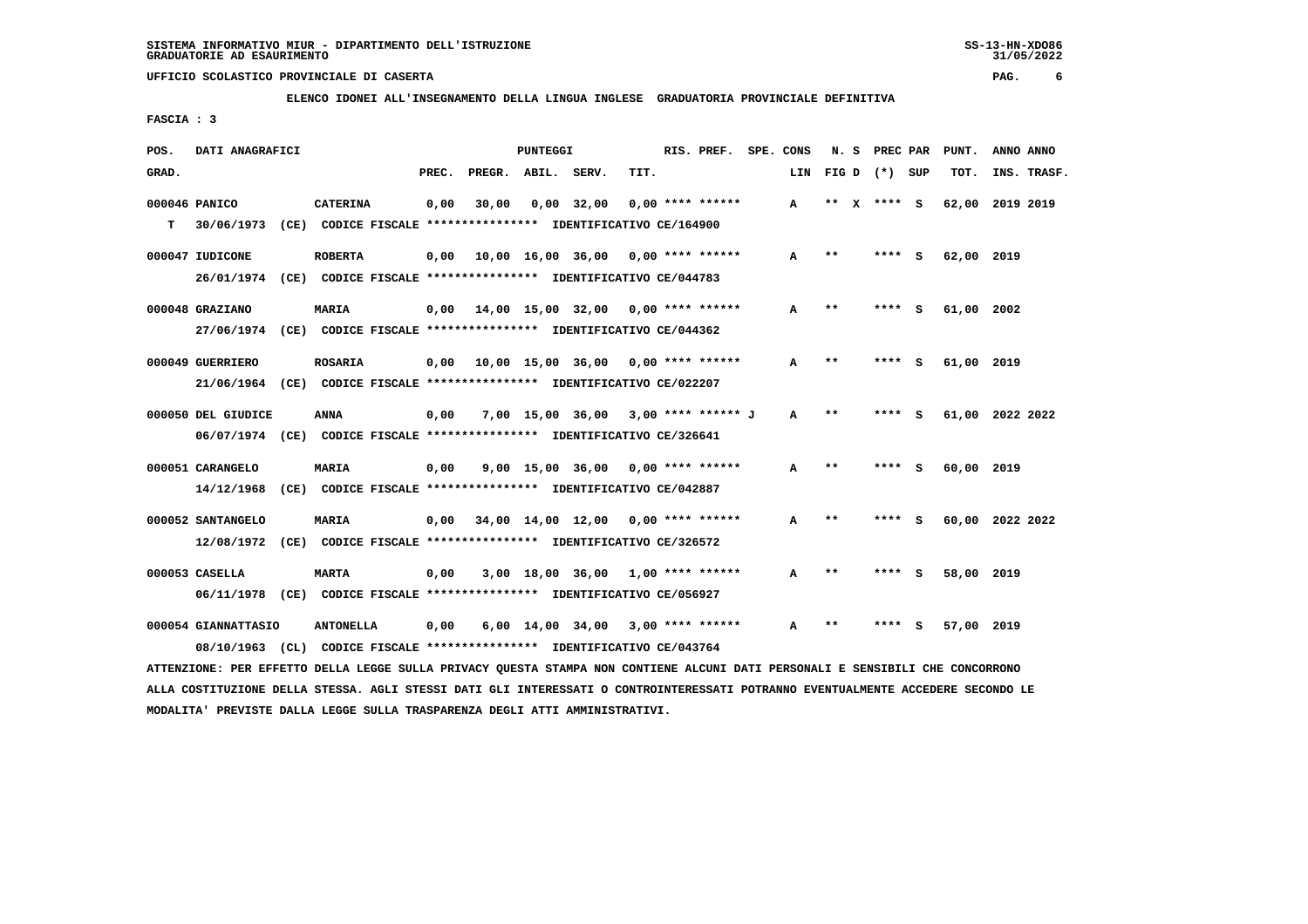**ELENCO IDONEI ALL'INSEGNAMENTO DELLA LINGUA INGLESE GRADUATORIA PROVINCIALE DEFINITIVA**

 **FASCIA : 3**

| POS.  | DATI ANAGRAFICI                                                                           |                                                               |       |                    | <b>PUNTEGGI</b> |                                            |      | RIS. PREF.         | SPE. CONS    | N. S         | PREC PAR        |     | PUNT.           | ANNO ANNO |             |
|-------|-------------------------------------------------------------------------------------------|---------------------------------------------------------------|-------|--------------------|-----------------|--------------------------------------------|------|--------------------|--------------|--------------|-----------------|-----|-----------------|-----------|-------------|
| GRAD. |                                                                                           |                                                               | PREC. | PREGR. ABIL. SERV. |                 |                                            | TIT. |                    | LIN          |              | $FIG D (*) SUB$ |     | TOT.            |           | INS. TRASF. |
| T.    | 000046 PANICO<br>30/06/1973 (CE) CODICE FISCALE **************** IDENTIFICATIVO CE/164900 | <b>CATERINA</b>                                               | 0,00  | 30,00              |                 | $0,00$ 32,00                               |      | $0,00$ **** ****** | $\mathbf{A}$ |              | ** X **** S     |     | 62,00           | 2019 2019 |             |
|       |                                                                                           |                                                               |       |                    |                 |                                            |      |                    |              |              |                 |     |                 |           |             |
|       | 000047 IUDICONE                                                                           | <b>ROBERTA</b>                                                | 0,00  |                    |                 | $10,00$ $16,00$ $36,00$ $0,00$ **** ****** |      |                    | А            | $* *$        | ****            | ్   | 62,00 2019      |           |             |
|       | 26/01/1974 (CE) CODICE FISCALE *************** IDENTIFICATIVO CE/044783                   |                                                               |       |                    |                 |                                            |      |                    |              |              |                 |     |                 |           |             |
|       | 000048 GRAZIANO                                                                           | <b>MARIA</b>                                                  |       |                    |                 | $0,00$ 14,00 15,00 32,00 0,00 **** ******  |      |                    | A            | $* *$        | **** S          |     | 61,00 2002      |           |             |
|       | 27/06/1974 (CE) CODICE FISCALE *************** IDENTIFICATIVO CE/044362                   |                                                               |       |                    |                 |                                            |      |                    |              |              |                 |     |                 |           |             |
|       | 000049 GUERRIERO                                                                          | <b>ROSARIA</b>                                                |       |                    |                 | 0,00 10,00 15,00 36,00                     |      | $0.00$ **** ****** | A            | $\star\star$ | ****            | s   | 61,00 2019      |           |             |
|       | 21/06/1964 (CE) CODICE FISCALE *************** IDENTIFICATIVO CE/022207                   |                                                               |       |                    |                 |                                            |      |                    |              |              |                 |     |                 |           |             |
|       | 000050 DEL GIUDICE                                                                        | ANNA                                                          | 0,00  |                    |                 | 7,00 15,00 36,00 3,00 **** ****** J        |      |                    | A            | $* *$        | ****            | - S | 61,00 2022 2022 |           |             |
|       | 06/07/1974 (CE) CODICE FISCALE *************** IDENTIFICATIVO CE/326641                   |                                                               |       |                    |                 |                                            |      |                    |              |              |                 |     |                 |           |             |
|       | 000051 CARANGELO                                                                          | <b>MARIA</b>                                                  | 0,00  |                    |                 | $9,00$ 15,00 36,00 0,00 **** ******        |      |                    | A            | $* *$        | **** S          |     | 60,00 2019      |           |             |
|       | 14/12/1968                                                                                | (CE) CODICE FISCALE **************** IDENTIFICATIVO CE/042887 |       |                    |                 |                                            |      |                    |              |              |                 |     |                 |           |             |
|       | 000052 SANTANGELO                                                                         | <b>MARIA</b>                                                  |       |                    |                 | 0,00 34,00 14,00 12,00                     |      | $0.00$ **** ****** | A            | $\star\star$ | **** S          |     | 60,00 2022 2022 |           |             |
|       | 12/08/1972 (CE) CODICE FISCALE *************** IDENTIFICATIVO CE/326572                   |                                                               |       |                    |                 |                                            |      |                    |              |              |                 |     |                 |           |             |
|       | 000053 CASELLA                                                                            | <b>MARTA</b>                                                  | 0,00  |                    |                 | 3,00 18,00 36,00                           |      | $1,00$ **** ****** | А            | $* *$        | ****            | - 5 | 58,00 2019      |           |             |
|       | 06/11/1978 (CE) CODICE FISCALE *************** IDENTIFICATIVO CE/056927                   |                                                               |       |                    |                 |                                            |      |                    |              |              |                 |     |                 |           |             |
|       | 000054 GIANNATTASIO                                                                       | <b>ANTONELLA</b>                                              | 0,00  |                    |                 | $6,00$ 14,00 34,00 3,00 **** ******        |      |                    | A            | $* *$        | ****            | - S | 57,00 2019      |           |             |
|       | 08/10/1963                                                                                | (CL) CODICE FISCALE **************** IDENTIFICATIVO CE/043764 |       |                    |                 |                                            |      |                    |              |              |                 |     |                 |           |             |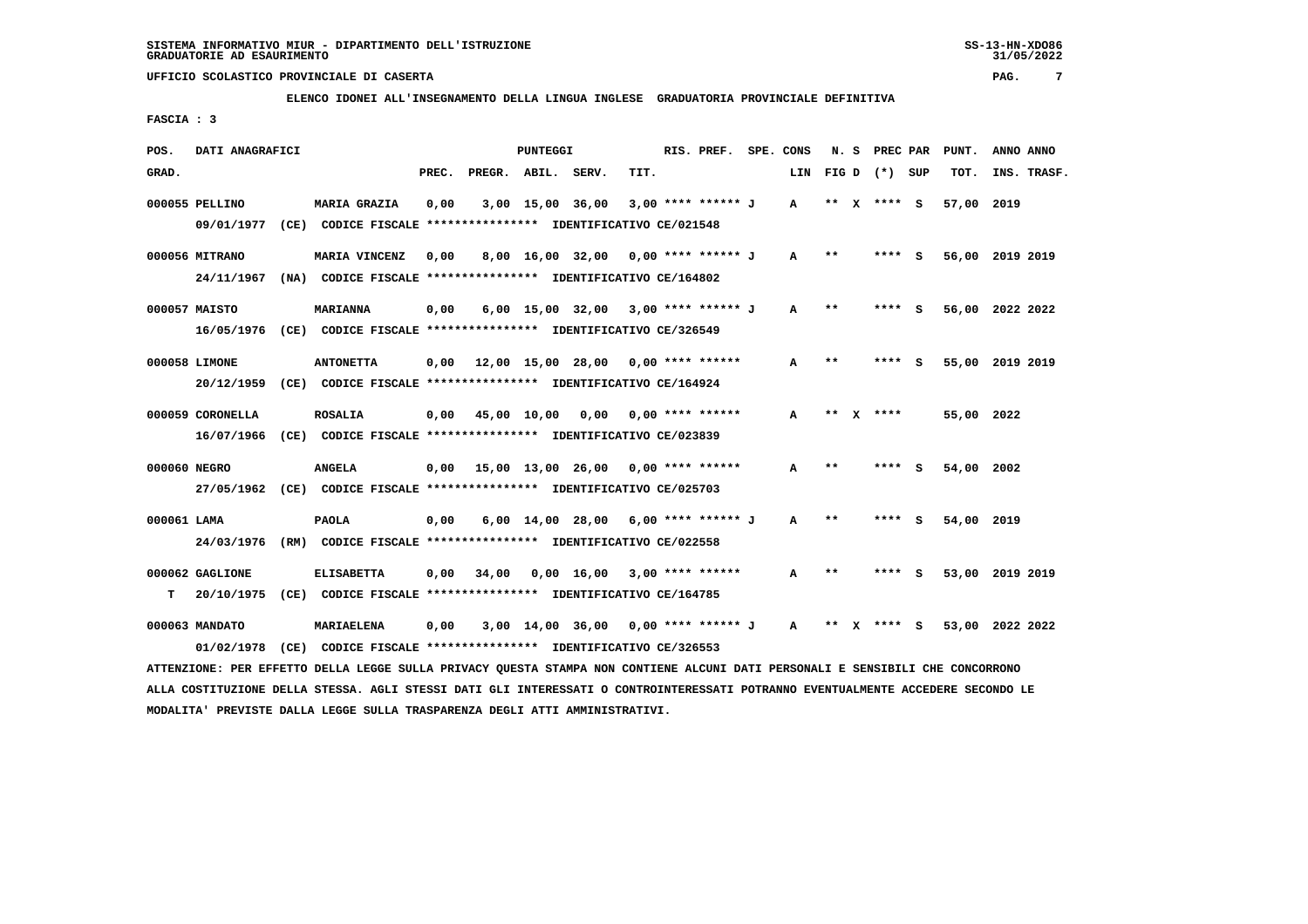**ELENCO IDONEI ALL'INSEGNAMENTO DELLA LINGUA INGLESE GRADUATORIA PROVINCIALE DEFINITIVA**

 **FASCIA : 3**

| POS.        | DATI ANAGRAFICI  |                                                                                                                               |       |                                            | PUNTEGGI |                                              |      | RIS. PREF. SPE. CONS |              |       | N. S PREC PAR   | PUNT.      | ANNO ANNO       |  |
|-------------|------------------|-------------------------------------------------------------------------------------------------------------------------------|-------|--------------------------------------------|----------|----------------------------------------------|------|----------------------|--------------|-------|-----------------|------------|-----------------|--|
| GRAD.       |                  |                                                                                                                               | PREC. | PREGR. ABIL. SERV.                         |          |                                              | TIT. |                      | LIN          |       | $FIG D (*) SUB$ | TOT.       | INS. TRASF.     |  |
|             | 000055 PELLINO   | <b>MARIA GRAZIA</b><br>09/01/1977 (CE) CODICE FISCALE *************** IDENTIFICATIVO CE/021548                                | 0,00  |                                            |          | 3,00 15,00 36,00                             |      | 3,00 **** ****** J   | $\mathbf{A}$ |       | ** x **** S     | 57,00 2019 |                 |  |
|             |                  |                                                                                                                               |       |                                            |          |                                              |      |                      |              |       |                 |            |                 |  |
|             | 000056 MITRANO   | MARIA VINCENZ                                                                                                                 | 0,00  |                                            |          | 8,00 16,00 32,00 0,00 **** ****** J          |      |                      | A            | $***$ | **** S          |            | 56,00 2019 2019 |  |
|             |                  | 24/11/1967 (NA) CODICE FISCALE *************** IDENTIFICATIVO CE/164802                                                       |       |                                            |          |                                              |      |                      |              |       |                 |            |                 |  |
|             | 000057 MAISTO    | <b>MARIANNA</b>                                                                                                               | 0,00  |                                            |          | 6,00 15,00 32,00 3,00 **** ****** J          |      |                      | A            | $**$  | **** S          |            | 56,00 2022 2022 |  |
|             |                  | 16/05/1976 (CE) CODICE FISCALE *************** IDENTIFICATIVO CE/326549                                                       |       |                                            |          |                                              |      |                      |              |       |                 |            |                 |  |
|             | 000058 LIMONE    | <b>ANTONETTA</b>                                                                                                              |       | $0,00$ 12,00 15,00 28,00 0,00 **** ******  |          |                                              |      |                      | A            | $* *$ | **** S          |            | 55,00 2019 2019 |  |
|             | 20/12/1959       | (CE) CODICE FISCALE **************** IDENTIFICATIVO CE/164924                                                                 |       |                                            |          |                                              |      |                      |              |       |                 |            |                 |  |
|             |                  |                                                                                                                               |       |                                            |          |                                              |      |                      |              |       |                 |            |                 |  |
|             | 000059 CORONELLA | <b>ROSALIA</b>                                                                                                                |       | $0,00$ 45,00 10,00 0,00 0,00 **** ******   |          |                                              |      |                      | A            |       | ** $X$ ****     | 55,00 2022 |                 |  |
|             |                  | 16/07/1966 (CE) CODICE FISCALE *************** IDENTIFICATIVO CE/023839                                                       |       |                                            |          |                                              |      |                      |              |       |                 |            |                 |  |
|             | 000060 NEGRO     | <b>ANGELA</b>                                                                                                                 |       | $0,00$ 15,00 13,00 26,00 0,00 **** ******  |          |                                              |      |                      | A            | $* *$ | **** S          | 54,00 2002 |                 |  |
|             |                  | 27/05/1962 (CE) CODICE FISCALE *************** IDENTIFICATIVO CE/025703                                                       |       |                                            |          |                                              |      |                      |              |       |                 |            |                 |  |
| 000061 LAMA |                  | <b>PAOLA</b>                                                                                                                  | 0,00  |                                            |          | 6,00 14,00 28,00 6,00 **** ****** J          |      |                      | $\mathbf{A}$ | $* *$ | **** S          | 54,00 2019 |                 |  |
|             |                  | 24/03/1976 (RM) CODICE FISCALE *************** IDENTIFICATIVO CE/022558                                                       |       |                                            |          |                                              |      |                      |              |       |                 |            |                 |  |
|             | 000062 GAGLIONE  | <b>ELISABETTA</b>                                                                                                             |       | $0.00$ 34.00 $0.00$ 16.00 3.00 **** ****** |          |                                              |      |                      | A            | **    | **** S          |            | 53,00 2019 2019 |  |
| т           |                  | 20/10/1975 (CE) CODICE FISCALE **************** IDENTIFICATIVO CE/164785                                                      |       |                                            |          |                                              |      |                      |              |       |                 |            |                 |  |
|             |                  |                                                                                                                               |       |                                            |          |                                              |      |                      |              |       |                 |            |                 |  |
|             | 000063 MANDATO   | MARIAELENA                                                                                                                    | 0,00  |                                            |          | $3,00$ 14,00 36,00 0,00 **** ****** J A ** X |      |                      |              |       | **** S          |            | 53,00 2022 2022 |  |
|             | 01/02/1978       | (CE) CODICE FISCALE **************** IDENTIFICATIVO CE/326553                                                                 |       |                                            |          |                                              |      |                      |              |       |                 |            |                 |  |
|             |                  | ATTENZIONE: PER EFFETTO DELLA LEGGE SULLA PRIVACY QUESTA STAMPA NON CONTIENE ALCUNI DATI PERSONALI E SENSIBILI CHE CONCORRONO |       |                                            |          |                                              |      |                      |              |       |                 |            |                 |  |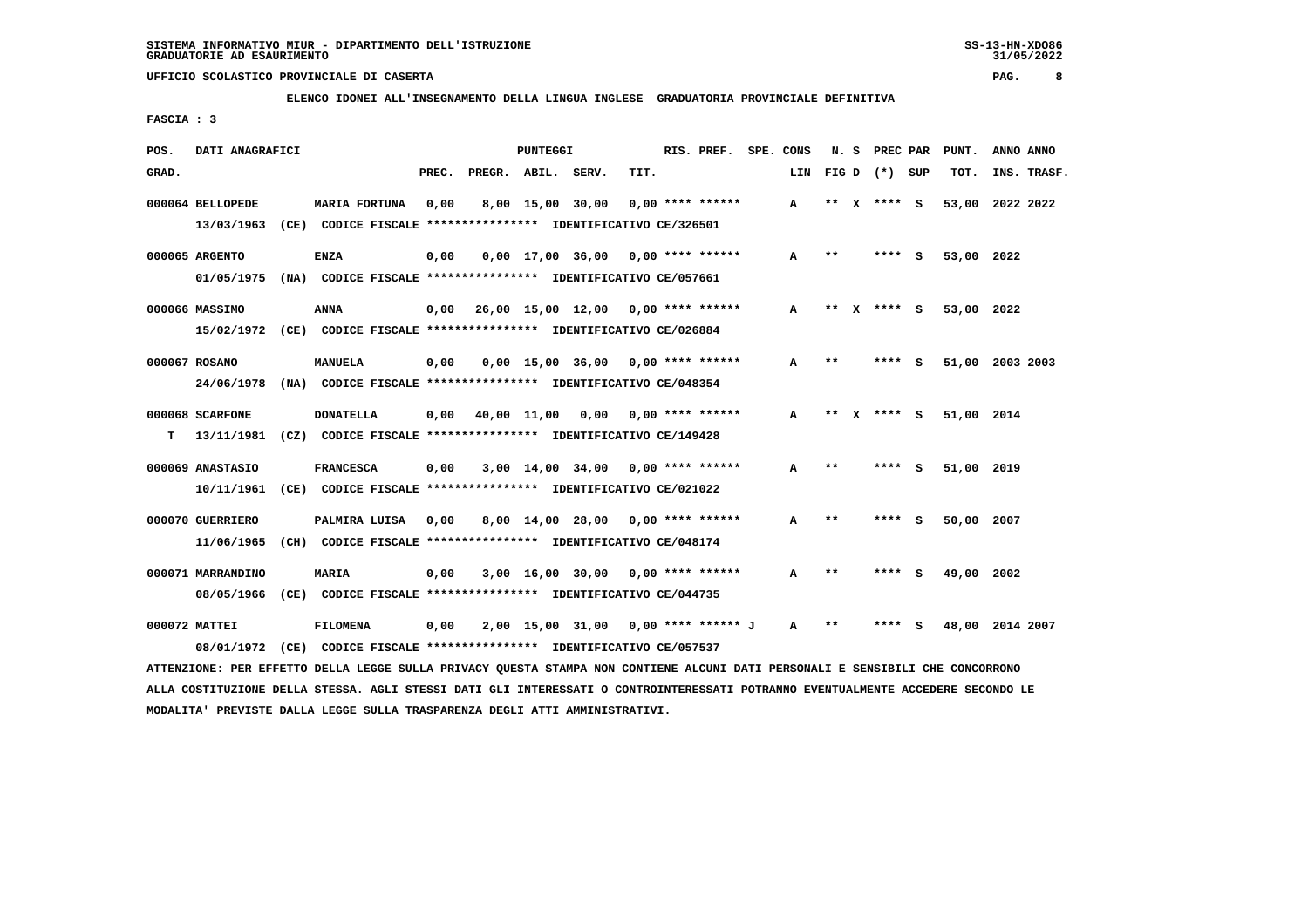**ELENCO IDONEI ALL'INSEGNAMENTO DELLA LINGUA INGLESE GRADUATORIA PROVINCIALE DEFINITIVA**

 **FASCIA : 3**

| POS.  | DATI ANAGRAFICI   |                                                                         |       |                    | PUNTEGGI    |                  |                                     | RIS. PREF.         | SPE. CONS |     |         | N. S PREC PAR   |     | PUNT.      | ANNO ANNO       |
|-------|-------------------|-------------------------------------------------------------------------|-------|--------------------|-------------|------------------|-------------------------------------|--------------------|-----------|-----|---------|-----------------|-----|------------|-----------------|
| GRAD. |                   |                                                                         | PREC. | PREGR. ABIL. SERV. |             |                  | TIT.                                |                    |           | LIN |         | FIG D $(*)$ SUP |     | TOT.       | INS. TRASF.     |
|       | 000064 BELLOPEDE  | <b>MARIA FORTUNA</b>                                                    | 0,00  |                    |             | 8,00 15,00 30,00 |                                     | $0.00$ **** ****** |           | A   | **<br>x | **** S          |     |            | 53,00 2022 2022 |
|       | 13/03/1963        | (CE) CODICE FISCALE **************** IDENTIFICATIVO CE/326501           |       |                    |             |                  |                                     |                    |           |     |         |                 |     |            |                 |
|       | 000065 ARGENTO    | <b>ENZA</b>                                                             | 0,00  |                    |             |                  | $0.00$ 17.00 36.00 0.00 **** ****** |                    |           | A   | $* *$   | **** S          |     | 53,00 2022 |                 |
|       |                   | 01/05/1975 (NA) CODICE FISCALE *************** IDENTIFICATIVO CE/057661 |       |                    |             |                  |                                     |                    |           |     |         |                 |     |            |                 |
|       | 000066 MASSIMO    | ANNA                                                                    | 0,00  |                    |             |                  | 26,00 15,00 12,00 0,00 **** ******  |                    |           | A   | **<br>x | **** S          |     | 53,00 2022 |                 |
|       |                   | 15/02/1972 (CE) CODICE FISCALE *************** IDENTIFICATIVO CE/026884 |       |                    |             |                  |                                     |                    |           |     |         |                 |     |            |                 |
|       | 000067 ROSANO     | MANUELA                                                                 | 0,00  |                    |             | 0,00 15,00 36,00 |                                     | $0.00$ **** ****** |           | A   | **      | **** S          |     |            | 51,00 2003 2003 |
|       |                   | 24/06/1978 (NA) CODICE FISCALE *************** IDENTIFICATIVO CE/048354 |       |                    |             |                  |                                     |                    |           |     |         |                 |     |            |                 |
|       | 000068 SCARFONE   | <b>DONATELLA</b>                                                        | 0,00  |                    | 40,00 11,00 | 0,00             |                                     | $0.00$ **** ****** |           | A   | **      | **** S          |     | 51,00 2014 |                 |
| т     | 13/11/1981        | (CZ) CODICE FISCALE **************** IDENTIFICATIVO CE/149428           |       |                    |             |                  |                                     |                    |           |     |         |                 |     |            |                 |
|       | 000069 ANASTASIO  | <b>FRANCESCA</b>                                                        | 0,00  |                    |             |                  | $3,00$ 14,00 34,00 0,00 **** ****** |                    |           | A   | **      | ****            | s   | 51,00 2019 |                 |
|       | 10/11/1961        | (CE) CODICE FISCALE **************** IDENTIFICATIVO CE/021022           |       |                    |             |                  |                                     |                    |           |     |         |                 |     |            |                 |
|       | 000070 GUERRIERO  | PALMIRA LUISA                                                           | 0,00  |                    |             |                  | 8,00 14,00 28,00 0,00 **** ******   |                    |           | A   | $* *$   | ****            | - s | 50,00 2007 |                 |
|       | 11/06/1965        | (CH) CODICE FISCALE **************** IDENTIFICATIVO CE/048174           |       |                    |             |                  |                                     |                    |           |     |         |                 |     |            |                 |
|       | 000071 MARRANDINO | <b>MARIA</b>                                                            | 0,00  |                    |             | 3,00 16,00 30,00 |                                     | $0.00$ **** ****** |           | A   | **      | ****            | - 5 | 49,00 2002 |                 |
|       | 08/05/1966        | (CE) CODICE FISCALE **************** IDENTIFICATIVO CE/044735           |       |                    |             |                  |                                     |                    |           |     |         |                 |     |            |                 |
|       | 000072 MATTEI     | <b>FILOMENA</b>                                                         | 0,00  |                    |             | 2,00 15,00 31,00 |                                     | 0,00 **** ****** J |           | A   | **      |                 | S   |            | 48,00 2014 2007 |
|       |                   | 08/01/1972 (CE) CODICE FISCALE *************** IDENTIFICATIVO CE/057537 |       |                    |             |                  |                                     |                    |           |     |         |                 |     |            |                 |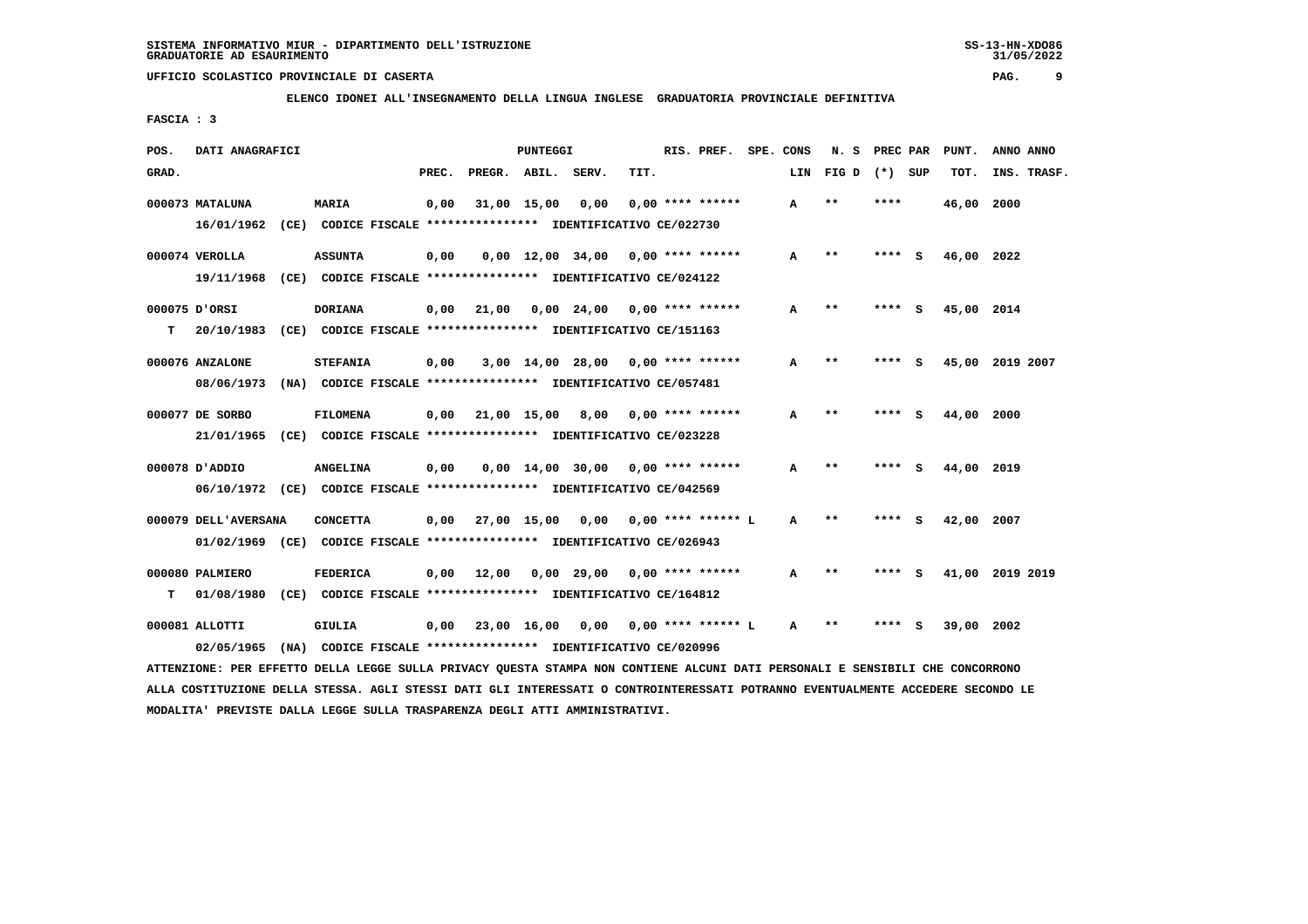**ELENCO IDONEI ALL'INSEGNAMENTO DELLA LINGUA INGLESE GRADUATORIA PROVINCIALE DEFINITIVA**

 **FASCIA : 3**

| POS.  | DATI ANAGRAFICI      |                                                                                                                               |       |                                              | PUNTEGGI |                                     |      | RIS. PREF. SPE. CONS |     | N. S            | <b>PREC PAR</b> |     | PUNT.      | ANNO ANNO       |  |
|-------|----------------------|-------------------------------------------------------------------------------------------------------------------------------|-------|----------------------------------------------|----------|-------------------------------------|------|----------------------|-----|-----------------|-----------------|-----|------------|-----------------|--|
| GRAD. |                      |                                                                                                                               | PREC. | PREGR. ABIL. SERV.                           |          |                                     | TIT. |                      | LIN | FIG D $(*)$ SUP |                 |     | TOT.       | INS. TRASF.     |  |
|       | 000073 MATALUNA      | <b>MARIA</b>                                                                                                                  | 0,00  |                                              |          | 31,00 15,00 0,00                    |      | $0.00$ **** ******   | A   | $**$            | ****            |     | 46,00 2000 |                 |  |
|       |                      | 16/01/1962 (CE) CODICE FISCALE **************** IDENTIFICATIVO CE/022730                                                      |       |                                              |          |                                     |      |                      |     |                 |                 |     |            |                 |  |
|       | 000074 VEROLLA       | <b>ASSUNTA</b>                                                                                                                | 0,00  |                                              |          | $0,00$ 12,00 34,00 0,00 **** ****** |      |                      | A   | $* *$           | **** S          |     | 46,00 2022 |                 |  |
|       |                      | 19/11/1968 (CE) CODICE FISCALE *************** IDENTIFICATIVO CE/024122                                                       |       |                                              |          |                                     |      |                      |     |                 |                 |     |            |                 |  |
|       | 000075 D'ORSI        | <b>DORIANA</b>                                                                                                                | 0,00  | 21,00                                        |          | 0,00 24,00 0,00 **** ******         |      |                      | A   | $* *$           | $***$ S         |     | 45,00 2014 |                 |  |
| т     |                      | 20/10/1983 (CE) CODICE FISCALE **************** IDENTIFICATIVO CE/151163                                                      |       |                                              |          |                                     |      |                      |     |                 |                 |     |            |                 |  |
|       | 000076 ANZALONE      | <b>STEFANIA</b>                                                                                                               | 0,00  |                                              |          | $3,00$ 14,00 28,00 0,00 **** ****** |      |                      | A   | $* *$           | **** S          |     |            | 45,00 2019 2007 |  |
|       |                      | 08/06/1973 (NA) CODICE FISCALE *************** IDENTIFICATIVO CE/057481                                                       |       |                                              |          |                                     |      |                      |     |                 |                 |     |            |                 |  |
|       | 000077 DE SORBO      | <b>FILOMENA</b>                                                                                                               |       | $0,00$ 21,00 15,00 8,00 0,00 **** ******     |          |                                     |      |                      | A   | $* *$           | **** S          |     | 44,00 2000 |                 |  |
|       |                      | 21/01/1965 (CE) CODICE FISCALE *************** IDENTIFICATIVO CE/023228                                                       |       |                                              |          |                                     |      |                      |     |                 |                 |     |            |                 |  |
|       | 000078 D'ADDIO       | <b>ANGELINA</b>                                                                                                               | 0,00  |                                              |          | $0.00$ 14,00 30,00 0,00 **** ****** |      |                      | A   | $* *$           | ****            | - 5 | 44,00 2019 |                 |  |
|       |                      | 06/10/1972 (CE) CODICE FISCALE *************** IDENTIFICATIVO CE/042569                                                       |       |                                              |          |                                     |      |                      |     |                 |                 |     |            |                 |  |
|       | 000079 DELL'AVERSANA | <b>CONCETTA</b>                                                                                                               |       | 0,00 27,00 15,00 0,00                        |          |                                     |      | 0,00 **** ****** L   | A   | $***$           | **** S          |     | 42,00 2007 |                 |  |
|       |                      | 01/02/1969 (CE) CODICE FISCALE *************** IDENTIFICATIVO CE/026943                                                       |       |                                              |          |                                     |      |                      |     |                 |                 |     |            |                 |  |
|       | 000080 PALMIERO      | <b>FEDERICA</b>                                                                                                               |       | $0,00$ 12,00                                 |          | 0,00 29,00 0,00 **** ******         |      |                      | A   | $* *$           | **** S          |     |            | 41,00 2019 2019 |  |
| т     |                      | 01/08/1980 (CE) CODICE FISCALE **************** IDENTIFICATIVO CE/164812                                                      |       |                                              |          |                                     |      |                      |     |                 |                 |     |            |                 |  |
|       | 000081 ALLOTTI       | GIULIA                                                                                                                        |       | $0,00$ 23,00 16,00 0,00 0,00 **** ****** L A |          |                                     |      |                      |     | $* *$           | **** S          |     | 39,00 2002 |                 |  |
|       | 02/05/1965           | (NA) CODICE FISCALE *************** IDENTIFICATIVO CE/020996                                                                  |       |                                              |          |                                     |      |                      |     |                 |                 |     |            |                 |  |
|       |                      | ATTENZIONE: PER EFFETTO DELLA LEGGE SULLA PRIVACY OUESTA STAMPA NON CONTIENE ALCUNI DATI PERSONALI E SENSIBILI CHE CONCORRONO |       |                                              |          |                                     |      |                      |     |                 |                 |     |            |                 |  |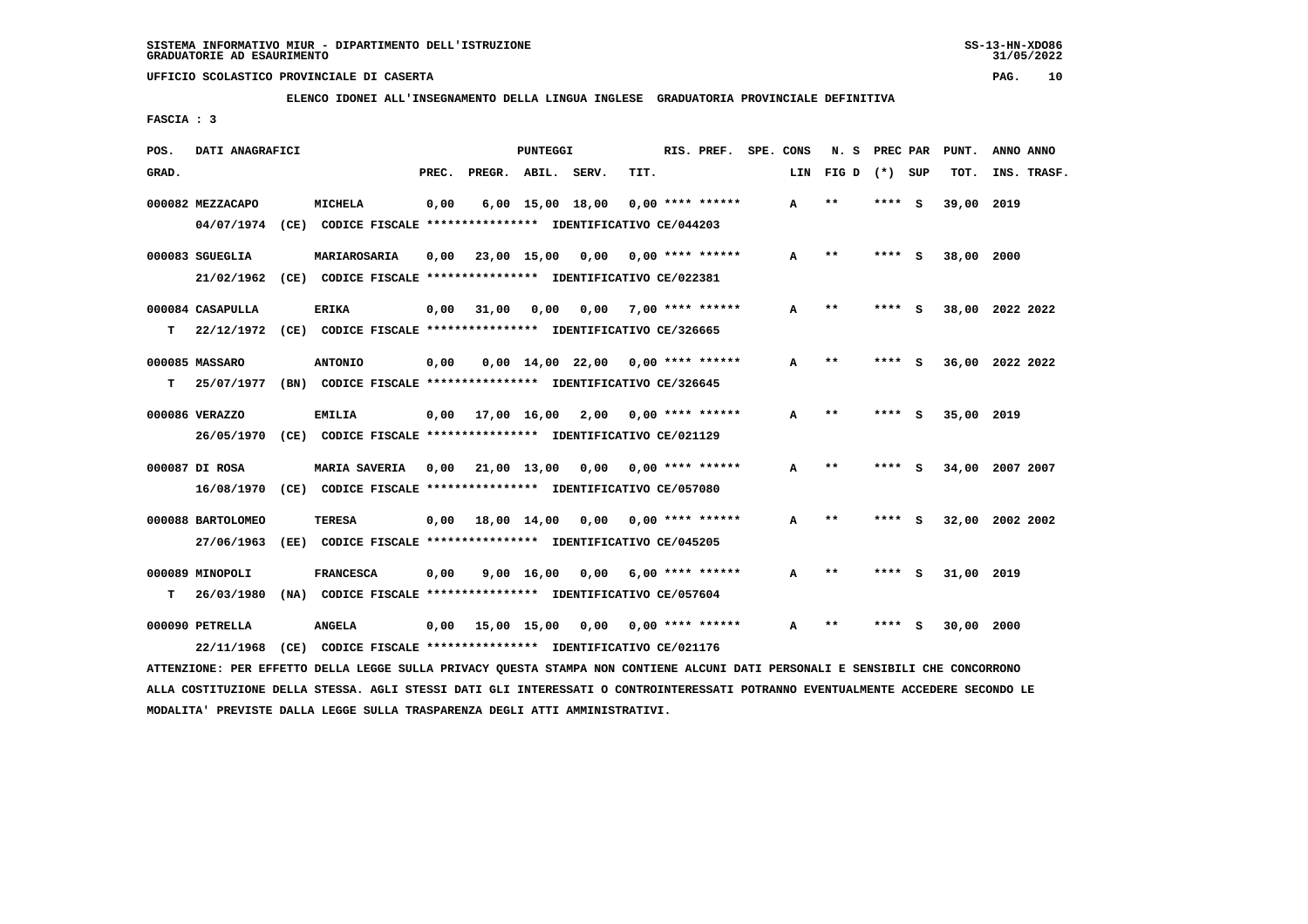**ELENCO IDONEI ALL'INSEGNAMENTO DELLA LINGUA INGLESE GRADUATORIA PROVINCIALE DEFINITIVA**

 **FASCIA : 3**

| POS.  | DATI ANAGRAFICI   |      |                                                                         |       |                        | PUNTEGGI           |                                     |                  | RIS. PREF.         | SPE. CONS |     | N. S  | PREC PAR |          | PUNT.      | ANNO ANNO       |
|-------|-------------------|------|-------------------------------------------------------------------------|-------|------------------------|--------------------|-------------------------------------|------------------|--------------------|-----------|-----|-------|----------|----------|------------|-----------------|
| GRAD. |                   |      |                                                                         | PREC. | PREGR. ABIL.           |                    | SERV.                               | TIT.             |                    |           | LIN | FIG D | $(*)$    | SUP      | TOT.       | INS. TRASF.     |
|       | 000082 MEZZACAPO  |      | <b>MICHELA</b>                                                          | 0,00  |                        | $6,00$ 15,00 18,00 |                                     |                  | $0.00$ **** ****** |           | A   | $**$  | ****     | S.       | 39,00 2019 |                 |
|       | 04/07/1974        |      | (CE) CODICE FISCALE **************** IDENTIFICATIVO CE/044203           |       |                        |                    |                                     |                  |                    |           |     |       |          |          |            |                 |
|       | 000083 SGUEGLIA   |      | MARIAROSARIA                                                            | 0,00  |                        | 23,00 15,00        | 0,00                                |                  | $0.00$ **** ****** |           | A   | $* *$ | **** S   |          | 38,00      | 2000            |
|       | 21/02/1962        |      | (CE) CODICE FISCALE **************** IDENTIFICATIVO CE/022381           |       |                        |                    |                                     |                  |                    |           |     |       |          |          |            |                 |
|       | 000084 CASAPULLA  |      | <b>ERIKA</b>                                                            | 0,00  | 31,00                  | 0,00               | 0,00                                | 7,00 **** ****** |                    |           | A   | $* *$ | ****     | - S      | 38,00      | 2022 2022       |
| т     |                   |      | 22/12/1972 (CE) CODICE FISCALE *************** IDENTIFICATIVO CE/326665 |       |                        |                    |                                     |                  |                    |           |     |       |          |          |            |                 |
|       | 000085 MASSARO    |      | <b>ANTONIO</b>                                                          | 0,00  |                        |                    | $0,00$ 14,00 22,00 0,00 **** ****** |                  |                    |           | A   | $* *$ |          | S        |            | 36,00 2022 2022 |
| т     | 25/07/1977        |      | (BN) CODICE FISCALE **************** IDENTIFICATIVO CE/326645           |       |                        |                    |                                     |                  |                    |           |     |       |          |          |            |                 |
|       | 000086 VERAZZO    |      | <b>EMILIA</b>                                                           |       | $0.00$ $17.00$ $16.00$ |                    | 2,00                                |                  | $0.00$ **** ****** |           | A   | $* *$ | ****     | - S      | 35,00 2019 |                 |
|       | 26/05/1970        |      | (CE) CODICE FISCALE **************** IDENTIFICATIVO CE/021129           |       |                        |                    |                                     |                  |                    |           |     |       |          |          |            |                 |
|       | 000087 DI ROSA    |      | <b>MARIA SAVERIA</b>                                                    |       | $0,00$ 21,00 13,00     |                    | 0,00                                |                  | $0.00$ **** ****** |           | A   | $***$ | ****     | - 5      | 34,00      | 2007 2007       |
|       | 16/08/1970        |      | (CE) CODICE FISCALE **************** IDENTIFICATIVO CE/057080           |       |                        |                    |                                     |                  |                    |           |     |       |          |          |            |                 |
|       | 000088 BARTOLOMEO |      | <b>TERESA</b>                                                           | 0,00  |                        | 18,00 14,00        | 0,00                                |                  | $0.00$ **** ****** |           | A   | $* *$ | ****     | S.       |            | 32,00 2002 2002 |
|       | 27/06/1963        | (EE) | CODICE FISCALE **************** IDENTIFICATIVO CE/045205                |       |                        |                    |                                     |                  |                    |           |     |       |          |          |            |                 |
|       | 000089 MINOPOLI   |      | <b>FRANCESCA</b>                                                        | 0,00  |                        | $9,00 \quad 16,00$ | 0,00                                |                  | $6,00$ **** ****** |           | A   | $**$  | ****     | <b>S</b> | 31,00 2019 |                 |
| т     | 26/03/1980        |      | (NA) CODICE FISCALE **************** IDENTIFICATIVO CE/057604           |       |                        |                    |                                     |                  |                    |           |     |       |          |          |            |                 |
|       | 000090 PETRELLA   |      | <b>ANGELA</b>                                                           | 0,00  |                        | 15,00 15,00        | 0,00                                |                  | $0.00$ **** ****** |           | A   | **    |          |          | 30,00      | 2000            |
|       | 22/11/1968        |      | (CE) CODICE FISCALE **************** IDENTIFICATIVO CE/021176           |       |                        |                    |                                     |                  |                    |           |     |       |          |          |            |                 |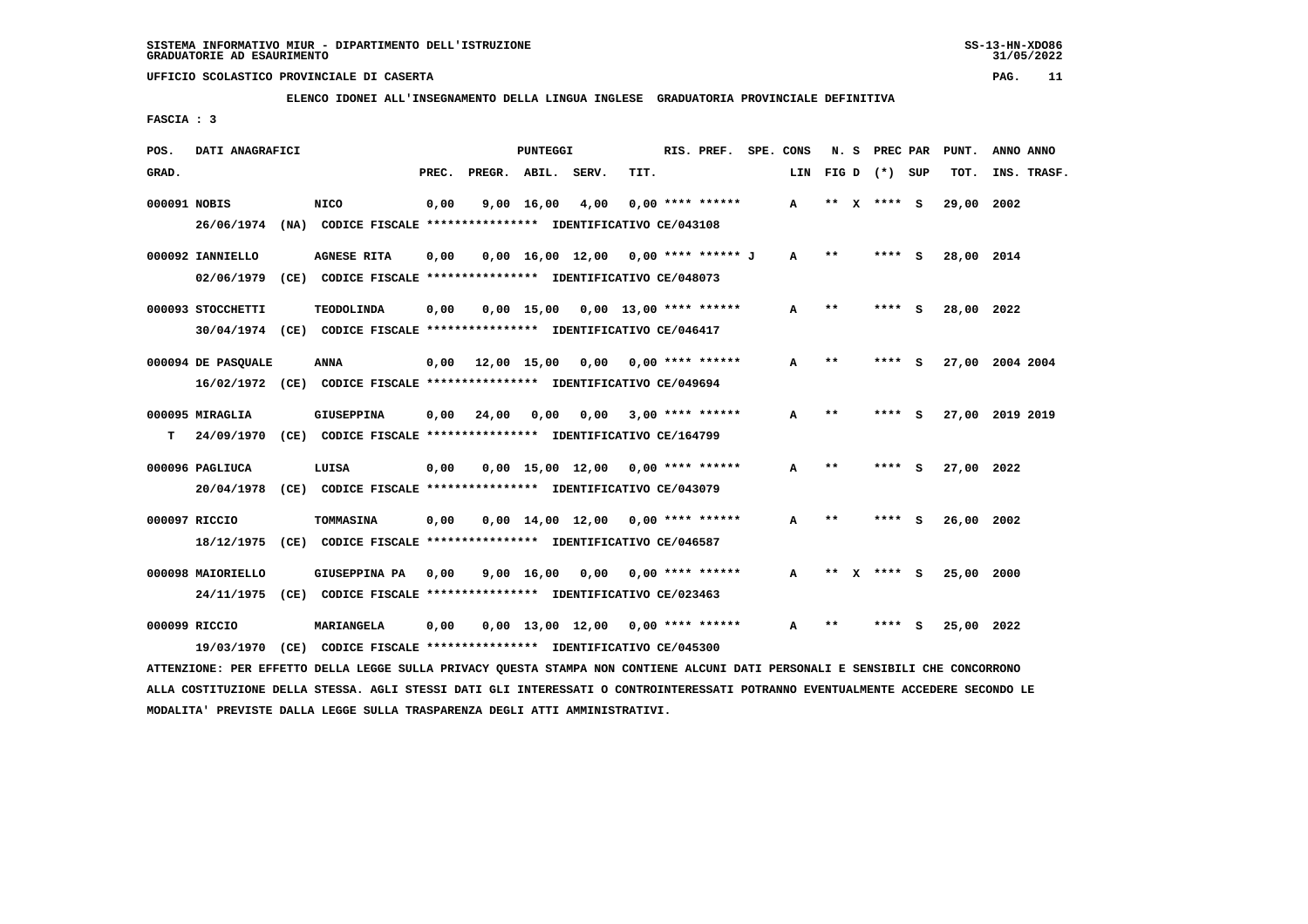**ELENCO IDONEI ALL'INSEGNAMENTO DELLA LINGUA INGLESE GRADUATORIA PROVINCIALE DEFINITIVA**

 **FASCIA : 3**

| POS.  | DATI ANAGRAFICI                                                         |                    |       |                               | PUNTEGGI           |                                     |      | RIS. PREF.         | SPE. CONS    | N. S         | PREC PAR        |   | PUNT.      | ANNO ANNO       |
|-------|-------------------------------------------------------------------------|--------------------|-------|-------------------------------|--------------------|-------------------------------------|------|--------------------|--------------|--------------|-----------------|---|------------|-----------------|
| GRAD. |                                                                         |                    | PREC. | PREGR. ABIL. SERV.            |                    |                                     | TIT. |                    | LIN          |              | $FIG D (*) SUB$ |   | TOT.       | INS. TRASF.     |
|       | 000091 NOBIS                                                            | <b>NICO</b>        | 0,00  |                               | 9,00 16,00         | 4,00                                |      | $0.00$ **** ****** | $\mathbf{A}$ |              | ** x **** S     |   | 29,00 2002 |                 |
|       | 26/06/1974 (NA) CODICE FISCALE *************** IDENTIFICATIVO CE/043108 |                    |       |                               |                    |                                     |      |                    |              |              |                 |   |            |                 |
|       | 000092 IANNIELLO                                                        | <b>AGNESE RITA</b> | 0,00  |                               |                    | 0,00 16,00 12,00 0,00 **** ****** J |      |                    | A            | $* *$        | **** S          |   | 28,00 2014 |                 |
|       | 02/06/1979 (CE) CODICE FISCALE *************** IDENTIFICATIVO CE/048073 |                    |       |                               |                    |                                     |      |                    |              |              |                 |   |            |                 |
|       | 000093 STOCCHETTI                                                       | <b>TEODOLINDA</b>  | 0,00  |                               |                    | $0.00$ 15.00 0.00 13.00 **** ****** |      |                    | A            | $* *$        | **** S          |   | 28,00 2022 |                 |
|       | 30/04/1974 (CE) CODICE FISCALE *************** IDENTIFICATIVO CE/046417 |                    |       |                               |                    |                                     |      |                    |              |              |                 |   |            |                 |
|       | 000094 DE PASOUALE                                                      | ANNA               |       | $0,00$ $12,00$ $15,00$ $0,00$ |                    |                                     |      | $0.00$ **** ****** | A            | $* *$        | **** S          |   |            | 27,00 2004 2004 |
|       | 16/02/1972 (CE) CODICE FISCALE *************** IDENTIFICATIVO CE/049694 |                    |       |                               |                    |                                     |      |                    |              |              |                 |   |            |                 |
|       | 000095 MIRAGLIA                                                         | <b>GIUSEPPINA</b>  | 0.00  | 24,00                         | 0,00               | 0,00                                |      | $3,00$ **** ****** | A            | $* *$        | **** S          |   |            | 27,00 2019 2019 |
| т     | 24/09/1970 (CE) CODICE FISCALE *************** IDENTIFICATIVO CE/164799 |                    |       |                               |                    |                                     |      |                    |              |              |                 |   |            |                 |
|       | 000096 PAGLIUCA                                                         | LUISA              | 0,00  |                               |                    | $0,00$ 15,00 12,00 0,00 **** ****** |      |                    | A            | $* *$        | **** S          |   | 27,00 2022 |                 |
|       | 20/04/1978 (CE) CODICE FISCALE *************** IDENTIFICATIVO CE/043079 |                    |       |                               |                    |                                     |      |                    |              |              |                 |   |            |                 |
|       | 000097 RICCIO                                                           | <b>TOMMASINA</b>   | 0,00  |                               |                    | $0,00$ 14,00 12,00 0,00 **** ****** |      |                    | А            | **           | **** S          |   | 26,00      | 2002            |
|       | 18/12/1975 (CE) CODICE FISCALE *************** IDENTIFICATIVO CE/046587 |                    |       |                               |                    |                                     |      |                    |              |              |                 |   |            |                 |
|       | 000098 MAIORIELLO                                                       | GIUSEPPINA PA      | 0,00  |                               | $9,00 \quad 16,00$ | 0,00                                |      | $0.00$ **** ****** | A            | $\star\star$ | **** S          |   | 25,00      | 2000            |
|       | 24/11/1975 (CE) CODICE FISCALE *************** IDENTIFICATIVO CE/023463 |                    |       |                               |                    |                                     |      |                    |              |              |                 |   |            |                 |
|       | 000099 RICCIO                                                           | MARIANGELA         | 0,00  |                               |                    | 0,00 13,00 12,00                    |      | $0.00$ **** ****** | A            | $* *$        | ****            | s | 25,00      | 2022            |
|       | 19/03/1970 (CE) CODICE FISCALE *************** IDENTIFICATIVO CE/045300 |                    |       |                               |                    |                                     |      |                    |              |              |                 |   |            |                 |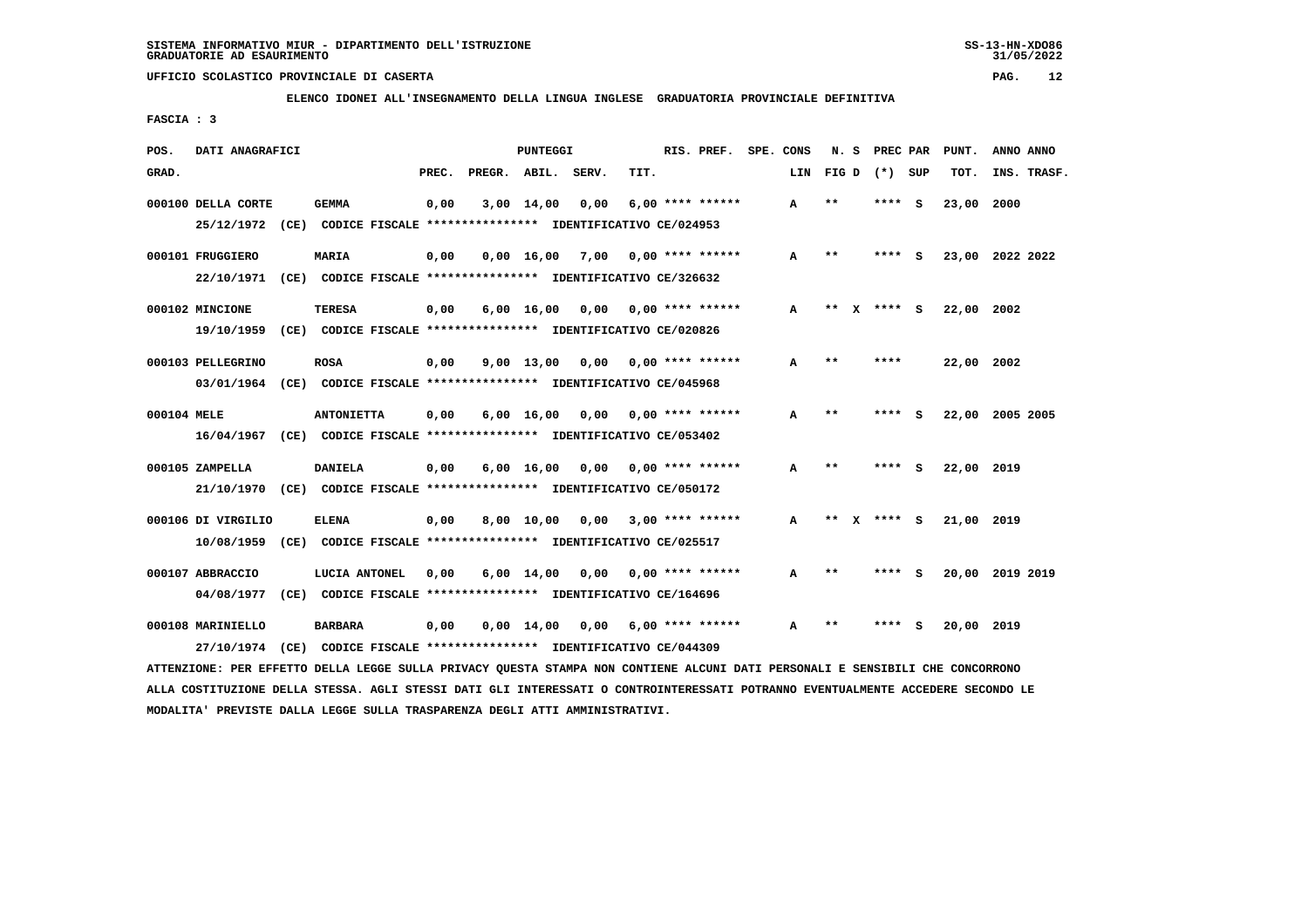**ELENCO IDONEI ALL'INSEGNAMENTO DELLA LINGUA INGLESE GRADUATORIA PROVINCIALE DEFINITIVA**

 **FASCIA : 3**

| POS.        | DATI ANAGRAFICI    |                                                                                                                               |       |                    | PUNTEGGI           |                                    |      | RIS. PREF. SPE. CONS |     | N.S   | <b>PREC PAR</b> |     | PUNT.           | ANNO ANNO |             |
|-------------|--------------------|-------------------------------------------------------------------------------------------------------------------------------|-------|--------------------|--------------------|------------------------------------|------|----------------------|-----|-------|-----------------|-----|-----------------|-----------|-------------|
| GRAD.       |                    |                                                                                                                               | PREC. | PREGR. ABIL. SERV. |                    |                                    | TIT. |                      | LIN |       | FIGD (*) SUP    |     | TOT.            |           | INS. TRASF. |
|             | 000100 DELLA CORTE | <b>GEMMA</b>                                                                                                                  | 0,00  |                    | $3,00$ 14,00       | 0,00                               |      | $6,00$ **** ******   | A   | $* *$ | ****            | - S | 23,00           | 2000      |             |
|             |                    | 25/12/1972 (CE) CODICE FISCALE *************** IDENTIFICATIVO CE/024953                                                       |       |                    |                    |                                    |      |                      |     |       |                 |     |                 |           |             |
|             | 000101 FRUGGIERO   | MARIA                                                                                                                         | 0,00  |                    | $0,00 \quad 16,00$ | 7,00 0,00 **** ******              |      |                      | A   | **    | **** S          |     | 23,00 2022 2022 |           |             |
|             |                    | 22/10/1971 (CE) CODICE FISCALE *************** IDENTIFICATIVO CE/326632                                                       |       |                    |                    |                                    |      |                      |     |       |                 |     |                 |           |             |
|             | 000102 MINCIONE    | <b>TERESA</b>                                                                                                                 | 0,00  |                    | $6,00 \quad 16,00$ | 0,00                               |      | $0.00$ **** ******   | A   | **    | **** S          |     | 22,00 2002      |           |             |
|             |                    | 19/10/1959 (CE) CODICE FISCALE *************** IDENTIFICATIVO CE/020826                                                       |       |                    |                    |                                    |      |                      |     |       |                 |     |                 |           |             |
|             | 000103 PELLEGRINO  | <b>ROSA</b>                                                                                                                   | 0,00  |                    |                    | $9,00$ 13,00 0,00 0,00 **** ****** |      |                      | A   | $* *$ | ****            |     | 22,00 2002      |           |             |
|             |                    | 03/01/1964 (CE) CODICE FISCALE *************** IDENTIFICATIVO CE/045968                                                       |       |                    |                    |                                    |      |                      |     |       |                 |     |                 |           |             |
| 000104 MELE |                    | <b>ANTONIETTA</b>                                                                                                             | 0,00  |                    |                    | $6,00$ 16,00 0,00 0,00 **** ****** |      |                      | А   | $***$ | ****            | - S | 22,00 2005 2005 |           |             |
|             |                    | 16/04/1967 (CE) CODICE FISCALE *************** IDENTIFICATIVO CE/053402                                                       |       |                    |                    |                                    |      |                      |     |       |                 |     |                 |           |             |
|             | 000105 ZAMPELLA    | <b>DANIELA</b>                                                                                                                | 0,00  |                    | $6,00 \quad 16,00$ | 0,00 0,00 **** ******              |      |                      | A   | $* *$ | **** S          |     | 22,00 2019      |           |             |
|             | 21/10/1970         | (CE) CODICE FISCALE **************** IDENTIFICATIVO CE/050172                                                                 |       |                    |                    |                                    |      |                      |     |       |                 |     |                 |           |             |
|             | 000106 DI VIRGILIO | <b>ELENA</b>                                                                                                                  | 0,00  |                    |                    | 8,00 10,00 0,00                    |      | $3,00$ **** ******   | A   | $* *$ | $***$ S         |     | 21,00 2019      |           |             |
|             | 10/08/1959         | (CE) CODICE FISCALE **************** IDENTIFICATIVO CE/025517                                                                 |       |                    |                    |                                    |      |                      |     |       |                 |     |                 |           |             |
|             | 000107 ABBRACCIO   | LUCIA ANTONEL                                                                                                                 | 0,00  |                    |                    | $6,00$ 14,00 0,00 0,00 **** ****** |      |                      | A   | $***$ | **** S          |     | 20,00 2019 2019 |           |             |
|             | 04/08/1977         | (CE) CODICE FISCALE **************** IDENTIFICATIVO CE/164696                                                                 |       |                    |                    |                                    |      |                      |     |       |                 |     |                 |           |             |
|             | 000108 MARINIELLO  | <b>BARBARA</b>                                                                                                                | 0,00  |                    | $0,00 \quad 14,00$ | 0,00                               |      | $6,00$ **** ******   | A   | **    | ****            | - S | 20,00 2019      |           |             |
|             | 27/10/1974         | (CE) CODICE FISCALE **************** IDENTIFICATIVO CE/044309                                                                 |       |                    |                    |                                    |      |                      |     |       |                 |     |                 |           |             |
|             |                    | ATTENZIONE: PER EFFETTO DELLA LEGGE SULLA PRIVACY OUESTA STAMPA NON CONTIENE ALCUNI DATI PERSONALI E SENSIBILI CHE CONCORRONO |       |                    |                    |                                    |      |                      |     |       |                 |     |                 |           |             |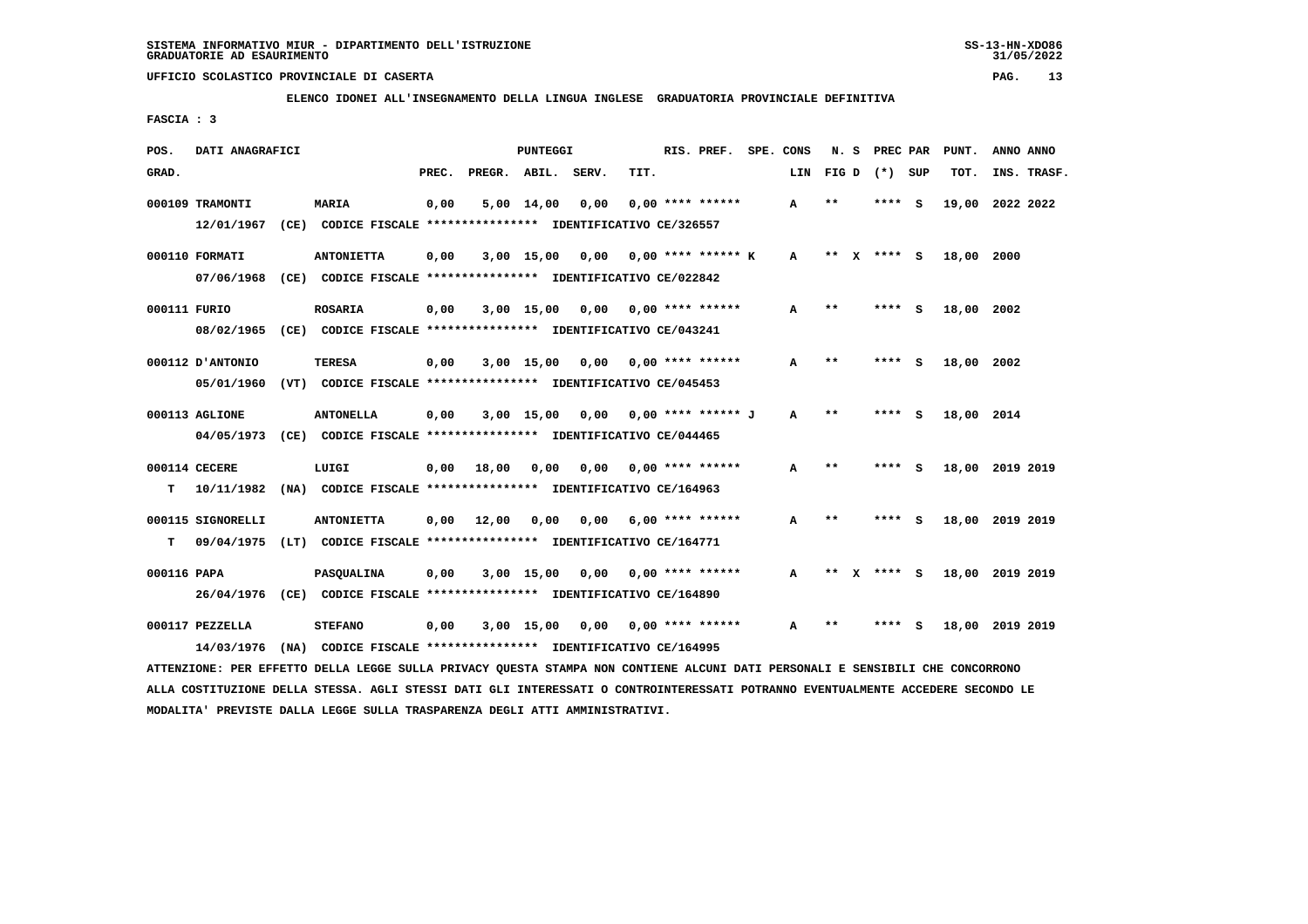**ELENCO IDONEI ALL'INSEGNAMENTO DELLA LINGUA INGLESE GRADUATORIA PROVINCIALE DEFINITIVA**

 **FASCIA : 3**

| POS.        | DATI ANAGRAFICI   | PUNTEGGI                                                                                                                      |       |                       |                 |                                      |      | RIS. PREF. SPE. CONS            |              |              | N. S PREC PAR  |   | PUNT.           | ANNO ANNO |             |
|-------------|-------------------|-------------------------------------------------------------------------------------------------------------------------------|-------|-----------------------|-----------------|--------------------------------------|------|---------------------------------|--------------|--------------|----------------|---|-----------------|-----------|-------------|
| GRAD.       |                   |                                                                                                                               | PREC. | PREGR. ABIL.          |                 | SERV.                                | TIT. |                                 | LIN          |              | FIGD $(*)$ SUP |   | TOT.            |           | INS. TRASF. |
|             | 000109 TRAMONTI   | <b>MARIA</b>                                                                                                                  | 0,00  |                       | 5,00 14,00      | 0,00                                 |      | $0.00$ **** ******              | A            | $* *$        | ****           | ్ | 19,00           | 2022 2022 |             |
|             |                   | 12/01/1967 (CE) CODICE FISCALE *************** IDENTIFICATIVO CE/326557                                                       |       |                       |                 |                                      |      |                                 |              |              |                |   |                 |           |             |
|             | 000110 FORMATI    | <b>ANTONIETTA</b>                                                                                                             | 0,00  |                       |                 | $3,00$ 15,00 0,00 0,00 **** ****** K |      |                                 | A            |              | ** X **** S    |   | 18,00 2000      |           |             |
|             |                   | 07/06/1968 (CE) CODICE FISCALE *************** IDENTIFICATIVO CE/022842                                                       |       |                       |                 |                                      |      |                                 |              |              |                |   |                 |           |             |
|             | 000111 FURIO      | <b>ROSARIA</b>                                                                                                                | 0,00  |                       | 3,00 15,00 0,00 |                                      |      | $0.00$ **** ******              | A            | $* *$        | $***$ S        |   | 18,00 2002      |           |             |
|             |                   | 08/02/1965 (CE) CODICE FISCALE *************** IDENTIFICATIVO CE/043241                                                       |       |                       |                 |                                      |      |                                 |              |              |                |   |                 |           |             |
|             | 000112 D'ANTONIO  | TERESA                                                                                                                        | 0,00  |                       |                 | 3,00 15,00 0,00                      |      | 0,00 **** ******                | A            | $\star\star$ | **** S         |   | 18,00 2002      |           |             |
|             | 05/01/1960        | (VT) CODICE FISCALE **************** IDENTIFICATIVO CE/045453                                                                 |       |                       |                 |                                      |      |                                 |              |              |                |   |                 |           |             |
|             | 000113 AGLIONE    | <b>ANTONELLA</b>                                                                                                              | 0,00  |                       |                 | 3,00 15,00 0,00 0,00 **** ****** J   |      |                                 | $\mathbf{A}$ | $***$        | **** S         |   | 18,00 2014      |           |             |
|             |                   | 04/05/1973 (CE) CODICE FISCALE *************** IDENTIFICATIVO CE/044465                                                       |       |                       |                 |                                      |      |                                 |              |              |                |   |                 |           |             |
|             | 000114 CECERE     | LUIGI                                                                                                                         |       | $0,00$ $18,00$ $0,00$ |                 |                                      |      | $0.00$ $0.00$ $***$ **** ****** | A            | $* *$        | **** S         |   | 18,00 2019 2019 |           |             |
| т           |                   | 10/11/1982 (NA) CODICE FISCALE *************** IDENTIFICATIVO CE/164963                                                       |       |                       |                 |                                      |      |                                 |              |              |                |   |                 |           |             |
|             | 000115 SIGNORELLI | <b>ANTONIETTA</b>                                                                                                             |       | $0,00$ 12,00          |                 | 0,00 0,00                            |      | $6,00$ **** ******              | A            | $**$         | **** S         |   | 18,00 2019 2019 |           |             |
| т           |                   | 09/04/1975 (LT) CODICE FISCALE **************** IDENTIFICATIVO CE/164771                                                      |       |                       |                 |                                      |      |                                 |              |              |                |   |                 |           |             |
| 000116 PAPA |                   | <b>PASQUALINA</b>                                                                                                             | 0,00  |                       |                 | $3,00$ 15,00 0,00 0,00 **** ******   |      |                                 | A            | ** X         | **** S         |   | 18,00 2019 2019 |           |             |
|             |                   | 26/04/1976 (CE) CODICE FISCALE *************** IDENTIFICATIVO CE/164890                                                       |       |                       |                 |                                      |      |                                 |              |              |                |   |                 |           |             |
|             | 000117 PEZZELLA   | <b>STEFANO</b>                                                                                                                | 0,00  |                       | $3,00$ 15,00    | 0,00 0,00 **** ******                |      |                                 | A            | **           | **** S         |   | 18,00 2019 2019 |           |             |
|             | 14/03/1976        | (NA) CODICE FISCALE **************** IDENTIFICATIVO CE/164995                                                                 |       |                       |                 |                                      |      |                                 |              |              |                |   |                 |           |             |
|             |                   | ATTENZIONE: PER EFFETTO DELLA LEGGE SULLA PRIVACY OUESTA STAMPA NON CONTIENE ALCUNI DATI PERSONALI E SENSIBILI CHE CONCORRONO |       |                       |                 |                                      |      |                                 |              |              |                |   |                 |           |             |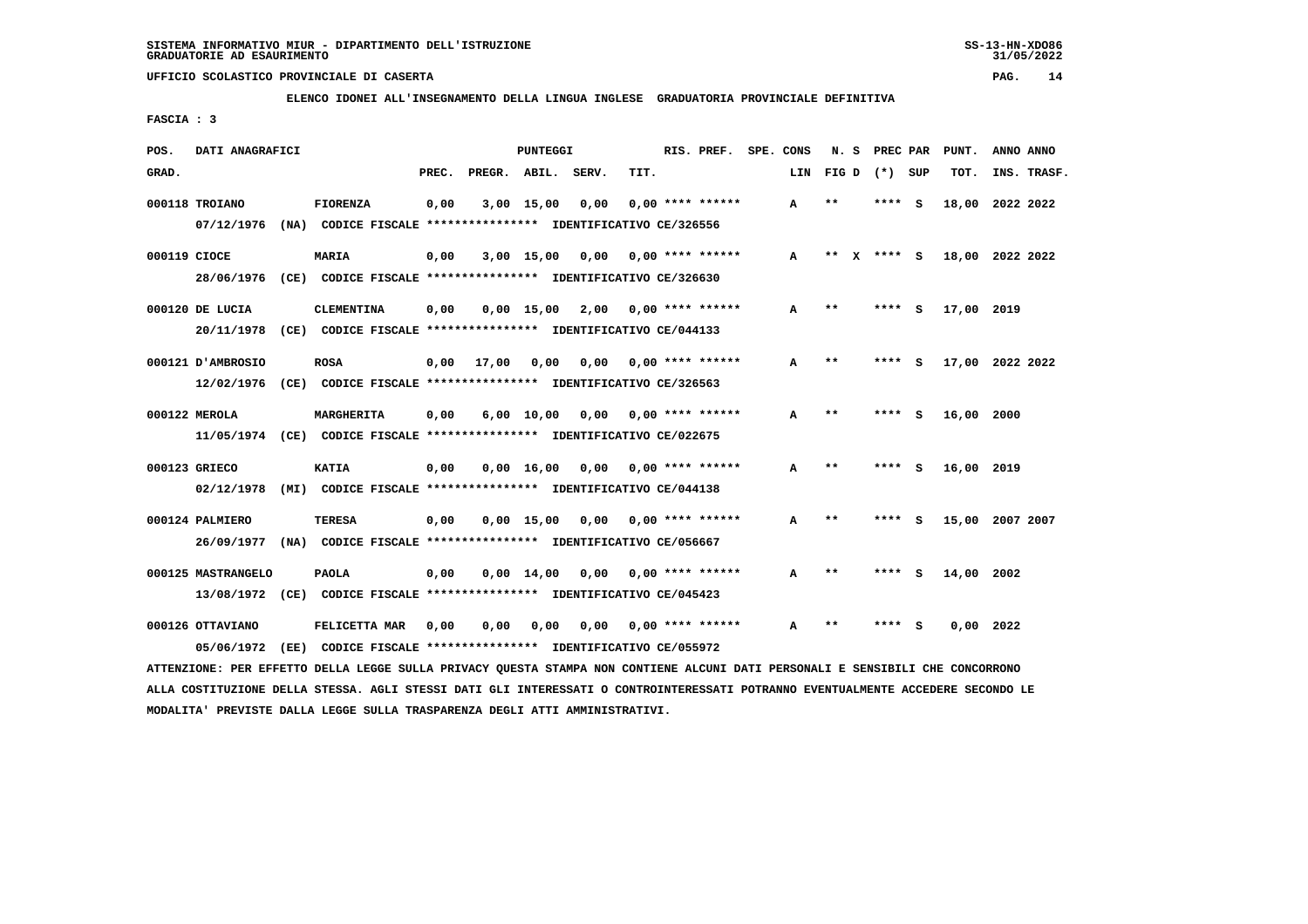**ELENCO IDONEI ALL'INSEGNAMENTO DELLA LINGUA INGLESE GRADUATORIA PROVINCIALE DEFINITIVA**

 **FASCIA : 3**

| POS.         | DATI ANAGRAFICI    |  |                                                                          |       | PUNTEGGI           |                    |                 |                                    | RIS. PREF. SPE. CONS |              |                 | N. S PREC PAR |            | ANNO ANNO       |
|--------------|--------------------|--|--------------------------------------------------------------------------|-------|--------------------|--------------------|-----------------|------------------------------------|----------------------|--------------|-----------------|---------------|------------|-----------------|
| GRAD.        |                    |  |                                                                          | PREC. | PREGR. ABIL. SERV. |                    |                 | TIT.                               | LIN                  |              | $FIG D (*) SUB$ |               | TOT.       | INS. TRASF.     |
|              | 000118 TROIANO     |  | <b>FIORENZA</b>                                                          | 0,00  |                    | $3,00$ 15,00       | 0,00            | $0.00$ **** ******                 | A                    | $* *$        | ****            | - 5           |            | 18,00 2022 2022 |
|              |                    |  | 07/12/1976 (NA) CODICE FISCALE *************** IDENTIFICATIVO CE/326556  |       |                    |                    |                 |                                    |                      |              |                 |               |            |                 |
| 000119 CIOCE |                    |  | <b>MARIA</b>                                                             | 0,00  |                    |                    |                 | $3,00$ 15,00 0,00 0,00 **** ****** | A                    | **<br>x      | **** $S$        |               |            | 18,00 2022 2022 |
|              |                    |  | 28/06/1976 (CE) CODICE FISCALE *************** IDENTIFICATIVO CE/326630  |       |                    |                    |                 |                                    |                      |              |                 |               |            |                 |
|              | 000120 DE LUCIA    |  | <b>CLEMENTINA</b>                                                        | 0,00  |                    |                    |                 | $0.00$ 15.00 2.00 0.00 **** ****** | A                    | $* *$        | ****            | - S           | 17,00 2019 |                 |
|              |                    |  | 20/11/1978 (CE) CODICE FISCALE *************** IDENTIFICATIVO CE/044133  |       |                    |                    |                 |                                    |                      |              |                 |               |            |                 |
|              | 000121 D'AMBROSIO  |  | <b>ROSA</b>                                                              |       | $0,00$ 17,00       | 0,00               | 0,00            | $0.00$ **** ******                 | A                    | $\star\star$ | **** S          |               |            | 17,00 2022 2022 |
|              |                    |  | 12/02/1976 (CE) CODICE FISCALE *************** IDENTIFICATIVO CE/326563  |       |                    |                    |                 |                                    |                      |              |                 |               |            |                 |
|              | 000122 MEROLA      |  | MARGHERITA                                                               | 0,00  |                    | $6,00 \quad 10,00$ | 0,00            | $0.00$ **** ******                 | A                    | $* *$        | **** S          |               | 16,00 2000 |                 |
|              |                    |  | 11/05/1974 (CE) CODICE FISCALE *************** IDENTIFICATIVO CE/022675  |       |                    |                    |                 |                                    |                      |              |                 |               |            |                 |
|              | 000123 GRIECO      |  | KATIA                                                                    | 0,00  |                    |                    | 0,00 16,00 0,00 | $0.00$ **** ******                 | A                    | $* *$        | **** S          |               | 16,00 2019 |                 |
|              |                    |  | 02/12/1978 (MI) CODICE FISCALE **************** IDENTIFICATIVO CE/044138 |       |                    |                    |                 |                                    |                      |              |                 |               |            |                 |
|              | 000124 PALMIERO    |  | TERESA                                                                   | 0,00  |                    | $0.00$ 15.00       |                 | $0,00$ $0,00$ **** ******          | A                    | **           | **** S          |               |            | 15,00 2007 2007 |
|              |                    |  | 26/09/1977 (NA) CODICE FISCALE *************** IDENTIFICATIVO CE/056667  |       |                    |                    |                 |                                    |                      |              |                 |               |            |                 |
|              | 000125 MASTRANGELO |  | <b>PAOLA</b>                                                             | 0,00  |                    | $0.00 \quad 14.00$ |                 | $0,00$ $0,00$ **** ******          | A                    | $* *$        | ****            | - S           | 14,00 2002 |                 |
|              |                    |  | 13/08/1972 (CE) CODICE FISCALE *************** IDENTIFICATIVO CE/045423  |       |                    |                    |                 |                                    |                      |              |                 |               |            |                 |
|              | 000126 OTTAVIANO   |  | FELICETTA MAR                                                            | 0,00  | 0,00               | 0,00               | 0,00            | $0.00$ **** ******                 | A                    | $* *$        |                 |               |            | $0,00$ 2022     |
|              | 05/06/1972         |  | (EE) CODICE FISCALE **************** IDENTIFICATIVO CE/055972            |       |                    |                    |                 |                                    |                      |              |                 |               |            |                 |